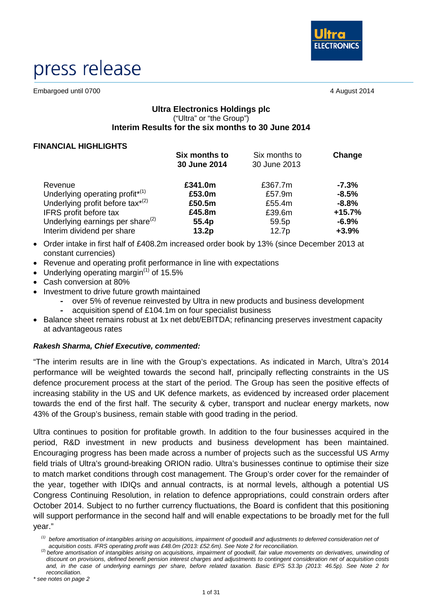

# press release

Embargoed until 0700 4 August 2014

## **Ultra Electronics Holdings plc** ("Ultra" or "the Group") **Interim Results for the six months to 30 June 2014**

## **FINANCIAL HIGHLIGHTS**

|                                              | Six months to<br>30 June 2014 | Six months to<br>30 June 2013 | Change   |
|----------------------------------------------|-------------------------------|-------------------------------|----------|
| Revenue                                      | £341.0m                       | £367.7m                       | $-7.3%$  |
| Underlying operating profit <sup>*(1)</sup>  | £53.0m                        | £57.9m                        | $-8.5%$  |
| Underlying profit before tax <sup>*(2)</sup> | £50.5m                        | £55.4m                        | $-8.8%$  |
| IFRS profit before tax                       | £45.8m                        | £39.6m                        | $+15.7%$ |
| Underlying earnings per share <sup>(2)</sup> | 55.4p                         | 59.5p                         | $-6.9%$  |
| Interim dividend per share                   | 13.2 <sub>p</sub>             | 12.7p                         | $+3.9%$  |

- Order intake in first half of £408.2m increased order book by 13% (since December 2013 at constant currencies)
- Revenue and operating profit performance in line with expectations
- Underlying operating margin $^{(1)}$  of 15.5%
- Cash conversion at 80%
- Investment to drive future growth maintained
	- **-** over 5% of revenue reinvested by Ultra in new products and business development
	- **-** acquisition spend of £104.1m on four specialist business
- Balance sheet remains robust at 1x net debt/EBITDA; refinancing preserves investment capacity at advantageous rates

## *Rakesh Sharma, Chief Executive, commented:*

"The interim results are in line with the Group's expectations. As indicated in March, Ultra's 2014 performance will be weighted towards the second half, principally reflecting constraints in the US defence procurement process at the start of the period. The Group has seen the positive effects of increasing stability in the US and UK defence markets, as evidenced by increased order placement towards the end of the first half. The security & cyber, transport and nuclear energy markets, now 43% of the Group's business, remain stable with good trading in the period.

Ultra continues to position for profitable growth. In addition to the four businesses acquired in the period, R&D investment in new products and business development has been maintained. Encouraging progress has been made across a number of projects such as the successful US Army field trials of Ultra's ground-breaking ORION radio. Ultra's businesses continue to optimise their size to match market conditions through cost management. The Group's order cover for the remainder of the year, together with IDIQs and annual contracts, is at normal levels, although a potential US Congress Continuing Resolution, in relation to defence appropriations, could constrain orders after October 2014. Subject to no further currency fluctuations, the Board is confident that this positioning will support performance in the second half and will enable expectations to be broadly met for the full year."

<sup>&</sup>lt;sup>(1)</sup> before amortisation of intangibles arising on acquisitions, impairment of goodwill and adjustments to deferred consideration net of acquisition costs. IFRS operating profit was £48.0m (2013: £52.6m). See Note 2 for r

<sup>&</sup>lt;sup>(2)</sup> before amortisation of intangibles arising on acquisitions, impairment of goodwill, fair value movements on derivatives, unwinding of *discount on provisions, defined benefit pension interest charges and adjustments to contingent consideration net of acquisition costs and, in the case of underlying earnings per share, before related taxation. Basic EPS 53.3p (2013: 46.5p). See Note 2 for reconciliation.*

*<sup>\*</sup> see notes on page 2*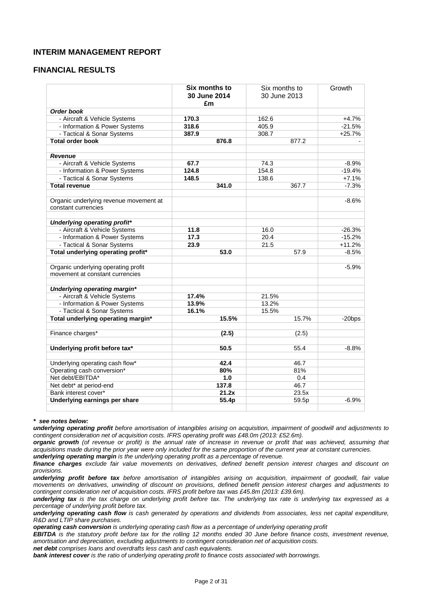## **INTERIM MANAGEMENT REPORT**

## **FINANCIAL RESULTS**

|                                                                        | Six months to<br>30 June 2014<br>£m | Six months to<br>30 June 2013 | Growth    |
|------------------------------------------------------------------------|-------------------------------------|-------------------------------|-----------|
| Order book                                                             |                                     |                               |           |
| - Aircraft & Vehicle Systems                                           | 170.3                               | 162.6                         | $+4.7%$   |
| - Information & Power Systems                                          | 318.6                               | 405.9                         | $-21.5%$  |
| - Tactical & Sonar Systems                                             | 387.9                               | 308.7                         | $+25.7%$  |
| <b>Total order book</b>                                                | 876.8                               | 877.2                         |           |
| <b>Revenue</b>                                                         |                                     |                               |           |
| - Aircraft & Vehicle Systems                                           | 67.7                                | 74.3                          | $-8.9%$   |
| - Information & Power Systems                                          | 124.8                               | 154.8                         | $-19.4%$  |
| - Tactical & Sonar Systems                                             | 148.5                               | 138.6                         | $+7.1%$   |
| <b>Total revenue</b>                                                   | 341.0                               | 367.7                         | $-7.3%$   |
| Organic underlying revenue movement at<br>constant currencies          |                                     |                               | $-8.6%$   |
| Underlying operating profit*                                           |                                     |                               |           |
| - Aircraft & Vehicle Systems                                           | 11.8                                | 16.0                          | $-26.3%$  |
| - Information & Power Systems                                          | 17.3                                | 20.4                          | $-15.2%$  |
| - Tactical & Sonar Systems                                             | 23.9                                | 21.5                          | $+11.2%$  |
| Total underlying operating profit*                                     | 53.0                                | 57.9                          | $-8.5%$   |
| Organic underlying operating profit<br>movement at constant currencies |                                     |                               | $-5.9%$   |
| Underlying operating margin*                                           |                                     |                               |           |
| - Aircraft & Vehicle Systems                                           | 17.4%                               | 21.5%                         |           |
| - Information & Power Systems                                          | 13.9%                               | 13.2%                         |           |
| - Tactical & Sonar Systems                                             | 16.1%                               | 15.5%                         |           |
| Total underlying operating margin*                                     | 15.5%                               | 15.7%                         | $-20$ bps |
| Finance charges*                                                       | (2.5)                               | (2.5)                         |           |
| Underlying profit before tax*                                          | 50.5                                | 55.4                          | $-8.8%$   |
|                                                                        |                                     |                               |           |
| Underlying operating cash flow*                                        | 42.4                                | 46.7                          |           |
| Operating cash conversion*                                             | 80%                                 | 81%                           |           |
| Net debt/EBITDA*                                                       | 1.0                                 | 0.4                           |           |
| Net debt* at period-end                                                | 137.8                               | 46.7                          |           |
| Bank interest cover*                                                   | 21.2x                               | 23.5x                         |           |
| Underlying earnings per share                                          | 55.4p                               | 59.5p                         | $-6.9%$   |

#### *\* see notes below:*

*underlying operating profit before amortisation of intangibles arising on acquisition, impairment of goodwill and adjustments to contingent consideration net of acquisition costs. IFRS operating profit was £48.0m (2013: £52.6m).* 

*organic growth (of revenue or profit) is the annual rate of increase in revenue or profit that was achieved, assuming that acquisitions made during the prior year were only included for the same proportion of the current year at constant currencies. underlying operating margin is the underlying operating profit as a percentage of revenue.*

*finance charges exclude fair value movements on derivatives, defined benefit pension interest charges and discount on provisions.*

*underlying profit before tax before amortisation of intangibles arising on acquisition, impairment of goodwill, fair value movements on derivatives, unwinding of discount on provisions, defined benefit pension interest charges and adjustments to contingent consideration net of acquisition costs. IFRS profit before tax was £45.8m (2013: £39.6m).*

*underlying tax is the tax charge on underlying profit before tax. The underlying tax rate is underlying tax expressed as a percentage of underlying profit before tax.*

*underlying operating cash flow is cash generated by operations and dividends from associates, less net capital expenditure, R&D and LTIP share purchases.*

*operating cash conversion is underlying operating cash flow as a percentage of underlying operating profit* 

*EBITDA is the statutory profit before tax for the rolling 12 months ended 30 June before finance costs, investment revenue, amortisation and depreciation, excluding adjustments to contingent consideration net of acquisition costs.* 

*net debt comprises loans and overdrafts less cash and cash equivalents.*

*bank interest cover is the ratio of underlying operating profit to finance costs associated with borrowings.*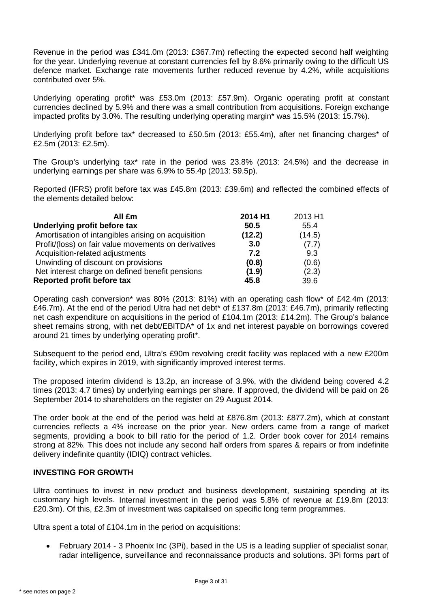Revenue in the period was £341.0m (2013: £367.7m) reflecting the expected second half weighting for the year. Underlying revenue at constant currencies fell by 8.6% primarily owing to the difficult US defence market. Exchange rate movements further reduced revenue by 4.2%, while acquisitions contributed over 5%.

Underlying operating profit\* was £53.0m (2013: £57.9m). Organic operating profit at constant currencies declined by 5.9% and there was a small contribution from acquisitions. Foreign exchange impacted profits by 3.0%. The resulting underlying operating margin\* was 15.5% (2013: 15.7%).

Underlying profit before tax\* decreased to £50.5m (2013: £55.4m), after net financing charges\* of £2.5m (2013: £2.5m).

The Group's underlying tax\* rate in the period was 23.8% (2013: 24.5%) and the decrease in underlying earnings per share was 6.9% to 55.4p (2013: 59.5p).

Reported (IFRS) profit before tax was £45.8m (2013: £39.6m) and reflected the combined effects of the elements detailed below:

| All £m                                               | 2014 H1 | 2013 H1 |
|------------------------------------------------------|---------|---------|
| Underlying profit before tax                         | 50.5    | 55.4    |
| Amortisation of intangibles arising on acquisition   | (12.2)  | (14.5)  |
| Profit/(loss) on fair value movements on derivatives | 3.0     | (7.7)   |
| Acquisition-related adjustments                      | 7.2     | 9.3     |
| Unwinding of discount on provisions                  | (0.8)   | (0.6)   |
| Net interest charge on defined benefit pensions      | (1.9)   | (2.3)   |
| Reported profit before tax                           | 45.8    | 39.6    |

Operating cash conversion\* was 80% (2013: 81%) with an operating cash flow\* of £42.4m (2013: £46.7m). At the end of the period Ultra had net debt\* of £137.8m (2013: £46.7m), primarily reflecting net cash expenditure on acquisitions in the period of £104.1m (2013: £14.2m). The Group's balance sheet remains strong, with net debt/EBITDA\* of 1x and net interest payable on borrowings covered around 21 times by underlying operating profit\*.

Subsequent to the period end, Ultra's £90m revolving credit facility was replaced with a new £200m facility, which expires in 2019, with significantly improved interest terms.

The proposed interim dividend is 13.2p, an increase of 3.9%, with the dividend being covered 4.2 times (2013: 4.7 times) by underlying earnings per share. If approved, the dividend will be paid on 26 September 2014 to shareholders on the register on 29 August 2014.

The order book at the end of the period was held at £876.8m (2013: £877.2m), which at constant currencies reflects a 4% increase on the prior year. New orders came from a range of market segments, providing a book to bill ratio for the period of 1.2. Order book cover for 2014 remains strong at 82%. This does not include any second half orders from spares & repairs or from indefinite delivery indefinite quantity (IDIQ) contract vehicles.

## **INVESTING FOR GROWTH**

Ultra continues to invest in new product and business development, sustaining spending at its customary high levels. Internal investment in the period was 5.8% of revenue at £19.8m (2013: £20.3m). Of this, £2.3m of investment was capitalised on specific long term programmes.

Ultra spent a total of £104.1m in the period on acquisitions:

• February 2014 - 3 Phoenix Inc (3Pi), based in the US is a leading supplier of specialist sonar, radar intelligence, surveillance and reconnaissance products and solutions. 3Pi forms part of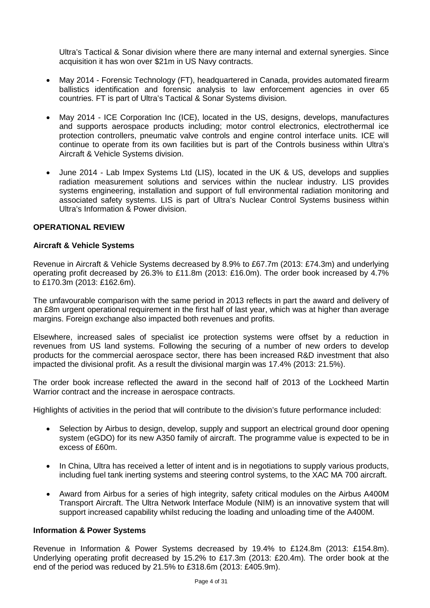Ultra's Tactical & Sonar division where there are many internal and external synergies. Since acquisition it has won over \$21m in US Navy contracts.

- May 2014 Forensic Technology (FT), headquartered in Canada, provides automated firearm ballistics identification and forensic analysis to law enforcement agencies in over 65 countries. FT is part of Ultra's Tactical & Sonar Systems division.
- May 2014 ICE Corporation Inc (ICE), located in the US, designs, develops, manufactures and supports aerospace products including; motor control electronics, electrothermal ice protection controllers, pneumatic valve controls and engine control interface units. ICE will continue to operate from its own facilities but is part of the Controls business within Ultra's Aircraft & Vehicle Systems division.
- June 2014 Lab Impex Systems Ltd (LIS), located in the UK & US, develops and supplies radiation measurement solutions and services within the nuclear industry. LIS provides systems engineering, installation and support of full environmental radiation monitoring and associated safety systems. LIS is part of Ultra's Nuclear Control Systems business within Ultra's Information & Power division.

## **OPERATIONAL REVIEW**

## **Aircraft & Vehicle Systems**

Revenue in Aircraft & Vehicle Systems decreased by 8.9% to £67.7m (2013: £74.3m) and underlying operating profit decreased by 26.3% to £11.8m (2013: £16.0m). The order book increased by 4.7% to £170.3m (2013: £162.6m).

The unfavourable comparison with the same period in 2013 reflects in part the award and delivery of an £8m urgent operational requirement in the first half of last year, which was at higher than average margins. Foreign exchange also impacted both revenues and profits.

Elsewhere, increased sales of specialist ice protection systems were offset by a reduction in revenues from US land systems. Following the securing of a number of new orders to develop products for the commercial aerospace sector, there has been increased R&D investment that also impacted the divisional profit. As a result the divisional margin was 17.4% (2013: 21.5%).

The order book increase reflected the award in the second half of 2013 of the Lockheed Martin Warrior contract and the increase in aerospace contracts.

Highlights of activities in the period that will contribute to the division's future performance included:

- Selection by Airbus to design, develop, supply and support an electrical ground door opening system (eGDO) for its new A350 family of aircraft. The programme value is expected to be in excess of £60m.
- In China, Ultra has received a letter of intent and is in negotiations to supply various products, including fuel tank inerting systems and steering control systems, to the XAC MA 700 aircraft.
- Award from Airbus for a series of high integrity, safety critical modules on the Airbus A400M Transport Aircraft. The Ultra Network Interface Module (NIM) is an innovative system that will support increased capability whilst reducing the loading and unloading time of the A400M.

## **Information & Power Systems**

Revenue in Information & Power Systems decreased by 19.4% to £124.8m (2013: £154.8m). Underlying operating profit decreased by 15.2% to £17.3m (2013: £20.4m)*.* The order book at the end of the period was reduced by 21.5% to £318.6m (2013: £405.9m).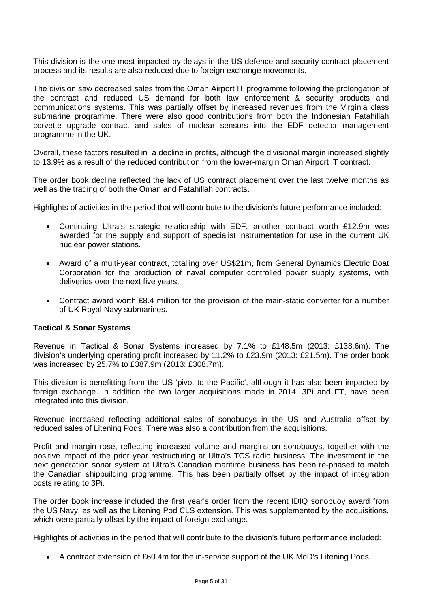This division is the one most impacted by delays in the US defence and security contract placement process and its results are also reduced due to foreign exchange movements.

The division saw decreased sales from the Oman Airport IT programme following the prolongation of the contract and reduced US demand for both law enforcement & security products and communications systems. This was partially offset by increased revenues from the Virginia class submarine programme. There were also good contributions from both the Indonesian Fatahillah corvette upgrade contract and sales of nuclear sensors into the EDF detector management programme in the UK.

Overall, these factors resulted in a decline in profits, although the divisional margin increased slightly to 13.9% as a result of the reduced contribution from the lower-margin Oman Airport IT contract.

The order book decline reflected the lack of US contract placement over the last twelve months as well as the trading of both the Oman and Fatahillah contracts.

Highlights of activities in the period that will contribute to the division's future performance included:

- Continuing Ultra's strategic relationship with EDF, another contract worth £12.9m was awarded for the supply and support of specialist instrumentation for use in the current UK nuclear power stations.
- Award of a multi-year contract, totalling over US\$21m, from General Dynamics Electric Boat Corporation for the production of naval computer controlled power supply systems, with deliveries over the next five years.
- Contract award worth £8.4 million for the provision of the main-static converter for a number of UK Royal Navy submarines.

## **Tactical & Sonar Systems**

Revenue in Tactical & Sonar Systems increased by 7.1% to £148.5m (2013: £138.6m). The division's underlying operating profit increased by 11.2% to £23.9m (2013: £21.5m). The order book was increased by 25.7% to £387.9m (2013: £308.7m).

This division is benefitting from the US 'pivot to the Pacific', although it has also been impacted by foreign exchange. In addition the two larger acquisitions made in 2014, 3Pi and FT, have been integrated into this division.

Revenue increased reflecting additional sales of sonobuoys in the US and Australia offset by reduced sales of Litening Pods. There was also a contribution from the acquisitions.

Profit and margin rose, reflecting increased volume and margins on sonobuoys, together with the positive impact of the prior year restructuring at Ultra's TCS radio business. The investment in the next generation sonar system at Ultra's Canadian maritime business has been re-phased to match the Canadian shipbuilding programme. This has been partially offset by the impact of integration costs relating to 3Pi.

The order book increase included the first year's order from the recent IDIQ sonobuoy award from the US Navy, as well as the Litening Pod CLS extension. This was supplemented by the acquisitions, which were partially offset by the impact of foreign exchange.

Highlights of activities in the period that will contribute to the division's future performance included:

• A contract extension of £60.4m for the in-service support of the UK MoD's Litening Pods.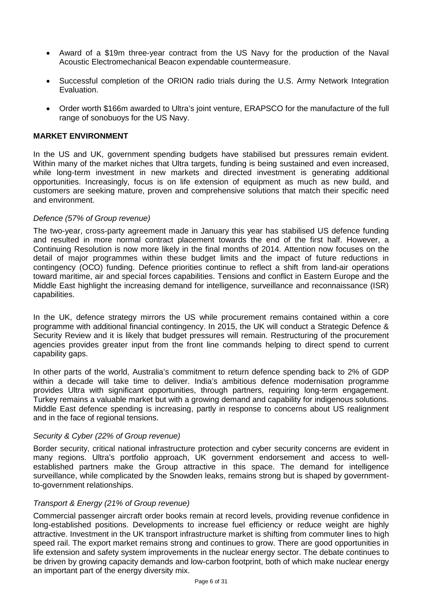- Award of a \$19m three-year contract from the US Navy for the production of the Naval Acoustic Electromechanical Beacon expendable countermeasure.
- Successful completion of the ORION radio trials during the U.S. Army Network Integration Evaluation.
- Order worth \$166m awarded to Ultra's joint venture, ERAPSCO for the manufacture of the full range of sonobuoys for the US Navy.

## **MARKET ENVIRONMENT**

In the US and UK, government spending budgets have stabilised but pressures remain evident. Within many of the market niches that Ultra targets, funding is being sustained and even increased, while long-term investment in new markets and directed investment is generating additional opportunities. Increasingly, focus is on life extension of equipment as much as new build, and customers are seeking mature, proven and comprehensive solutions that match their specific need and environment.

## *Defence (57% of Group revenue)*

The two-year, cross-party agreement made in January this year has stabilised US defence funding and resulted in more normal contract placement towards the end of the first half. However, a Continuing Resolution is now more likely in the final months of 2014. Attention now focuses on the detail of major programmes within these budget limits and the impact of future reductions in contingency (OCO) funding. Defence priorities continue to reflect a shift from land-air operations toward maritime, air and special forces capabilities. Tensions and conflict in Eastern Europe and the Middle East highlight the increasing demand for intelligence, surveillance and reconnaissance (ISR) capabilities.

In the UK, defence strategy mirrors the US while procurement remains contained within a core programme with additional financial contingency. In 2015, the UK will conduct a Strategic Defence & Security Review and it is likely that budget pressures will remain. Restructuring of the procurement agencies provides greater input from the front line commands helping to direct spend to current capability gaps.

In other parts of the world, Australia's commitment to return defence spending back to 2% of GDP within a decade will take time to deliver. India's ambitious defence modernisation programme provides Ultra with significant opportunities, through partners, requiring long-term engagement. Turkey remains a valuable market but with a growing demand and capability for indigenous solutions. Middle East defence spending is increasing, partly in response to concerns about US realignment and in the face of regional tensions.

## *Security & Cyber (22% of Group revenue)*

Border security, critical national infrastructure protection and cyber security concerns are evident in many regions. Ultra's portfolio approach, UK government endorsement and access to wellestablished partners make the Group attractive in this space. The demand for intelligence surveillance, while complicated by the Snowden leaks, remains strong but is shaped by governmentto-government relationships.

## *Transport & Energy (21% of Group revenue)*

Commercial passenger aircraft order books remain at record levels, providing revenue confidence in long-established positions. Developments to increase fuel efficiency or reduce weight are highly attractive. Investment in the UK transport infrastructure market is shifting from commuter lines to high speed rail. The export market remains strong and continues to grow. There are good opportunities in life extension and safety system improvements in the nuclear energy sector. The debate continues to be driven by growing capacity demands and low-carbon footprint, both of which make nuclear energy an important part of the energy diversity mix.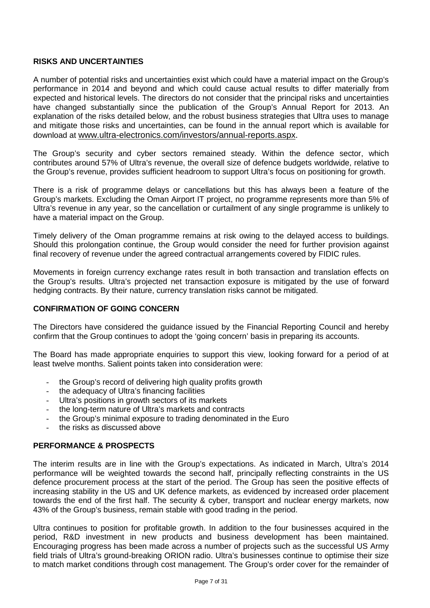## **RISKS AND UNCERTAINTIES**

A number of potential risks and uncertainties exist which could have a material impact on the Group's performance in 2014 and beyond and which could cause actual results to differ materially from expected and historical levels. The directors do not consider that the principal risks and uncertainties have changed substantially since the publication of the Group's Annual Report for 2013. An explanation of the risks detailed below, and the robust business strategies that Ultra uses to manage and mitigate those risks and uncertainties, can be found in the annual report which is available for download at [www.ultra-electronics.com/investors/annual-reports.aspx.](http://www.ultra-electronics.com/investors/annual-reports.aspx)

The Group's security and cyber sectors remained steady. Within the defence sector, which contributes around 57% of Ultra's revenue, the overall size of defence budgets worldwide, relative to the Group's revenue, provides sufficient headroom to support Ultra's focus on positioning for growth.

There is a risk of programme delays or cancellations but this has always been a feature of the Group's markets. Excluding the Oman Airport IT project, no programme represents more than 5% of Ultra's revenue in any year, so the cancellation or curtailment of any single programme is unlikely to have a material impact on the Group.

Timely delivery of the Oman programme remains at risk owing to the delayed access to buildings. Should this prolongation continue, the Group would consider the need for further provision against final recovery of revenue under the agreed contractual arrangements covered by FIDIC rules.

Movements in foreign currency exchange rates result in both transaction and translation effects on the Group's results. Ultra's projected net transaction exposure is mitigated by the use of forward hedging contracts. By their nature, currency translation risks cannot be mitigated.

## **CONFIRMATION OF GOING CONCERN**

The Directors have considered the guidance issued by the Financial Reporting Council and hereby confirm that the Group continues to adopt the 'going concern' basis in preparing its accounts.

The Board has made appropriate enquiries to support this view, looking forward for a period of at least twelve months. Salient points taken into consideration were:

- the Group's record of delivering high quality profits growth
- the adequacy of Ultra's financing facilities
- Ultra's positions in growth sectors of its markets
- the long-term nature of Ultra's markets and contracts
- the Group's minimal exposure to trading denominated in the Euro
- the risks as discussed above

## **PERFORMANCE & PROSPECTS**

The interim results are in line with the Group's expectations. As indicated in March, Ultra's 2014 performance will be weighted towards the second half, principally reflecting constraints in the US defence procurement process at the start of the period. The Group has seen the positive effects of increasing stability in the US and UK defence markets, as evidenced by increased order placement towards the end of the first half. The security & cyber, transport and nuclear energy markets, now 43% of the Group's business, remain stable with good trading in the period.

Ultra continues to position for profitable growth. In addition to the four businesses acquired in the period, R&D investment in new products and business development has been maintained. Encouraging progress has been made across a number of projects such as the successful US Army field trials of Ultra's ground-breaking ORION radio. Ultra's businesses continue to optimise their size to match market conditions through cost management. The Group's order cover for the remainder of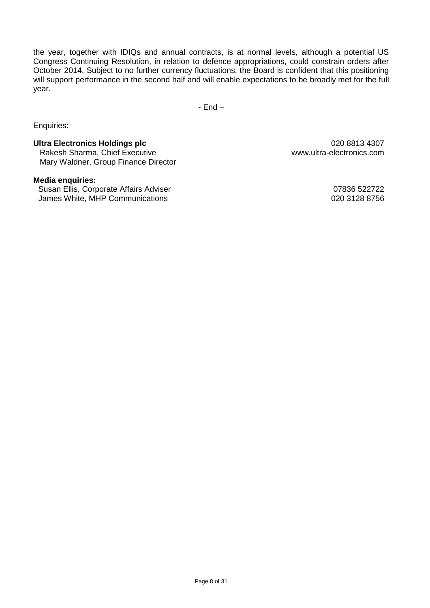the year, together with IDIQs and annual contracts, is at normal levels, although a potential US Congress Continuing Resolution, in relation to defence appropriations, could constrain orders after October 2014. Subject to no further currency fluctuations, the Board is confident that this positioning will support performance in the second half and will enable expectations to be broadly met for the full year.

- End –

Enquiries:

**Ultra Electronics Holdings plc**<br>Rakesh Sharma. Chief Executive **1990 120 8813 4307**<br>www.ultra-electronics.com Rakesh Sharma, Chief Executive Mary Waldner, Group Finance Director

## **Media enquiries:**

Susan Ellis, Corporate Affairs Adviser 07836 522722 James White, MHP Communications 020 3128 8756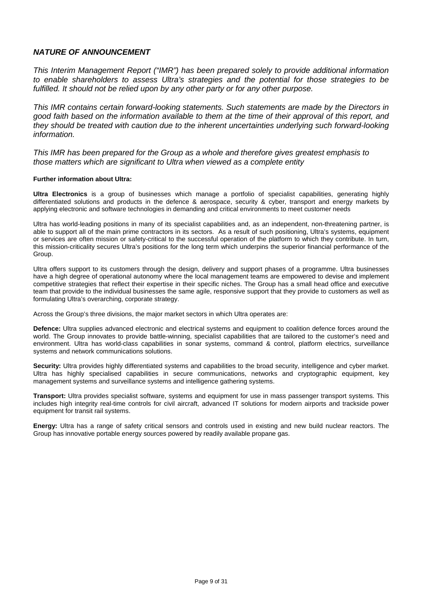## *NATURE OF ANNOUNCEMENT*

*This Interim Management Report ("IMR") has been prepared solely to provide additional information to enable shareholders to assess Ultra's strategies and the potential for those strategies to be fulfilled. It should not be relied upon by any other party or for any other purpose.* 

*This IMR contains certain forward-looking statements. Such statements are made by the Directors in good faith based on the information available to them at the time of their approval of this report, and they should be treated with caution due to the inherent uncertainties underlying such forward-looking information.*

*This IMR has been prepared for the Group as a whole and therefore gives greatest emphasis to those matters which are significant to Ultra when viewed as a complete entity*

#### **Further information about Ultra:**

**Ultra Electronics** is a group of businesses which manage a portfolio of specialist capabilities, generating highly differentiated solutions and products in the defence & aerospace, security & cyber, transport and energy markets by applying electronic and software technologies in demanding and critical environments to meet customer needs

Ultra has world-leading positions in many of its specialist capabilities and, as an independent, non-threatening partner, is able to support all of the main prime contractors in its sectors. As a result of such positioning, Ultra's systems, equipment or services are often mission or safety-critical to the successful operation of the platform to which they contribute. In turn, this mission-criticality secures Ultra's positions for the long term which underpins the superior financial performance of the Group.

Ultra offers support to its customers through the design, delivery and support phases of a programme. Ultra businesses have a high degree of operational autonomy where the local management teams are empowered to devise and implement competitive strategies that reflect their expertise in their specific niches. The Group has a small head office and executive team that provide to the individual businesses the same agile, responsive support that they provide to customers as well as formulating Ultra's overarching, corporate strategy.

Across the Group's three divisions, the major market sectors in which Ultra operates are:

**Defence:** Ultra supplies advanced electronic and electrical systems and equipment to coalition defence forces around the world. The Group innovates to provide battle-winning, specialist capabilities that are tailored to the customer's need and environment. Ultra has world-class capabilities in sonar systems, command & control, platform electrics, surveillance systems and network communications solutions.

**Security:** Ultra provides highly differentiated systems and capabilities to the broad security, intelligence and cyber market. Ultra has highly specialised capabilities in secure communications, networks and cryptographic equipment, key management systems and surveillance systems and intelligence gathering systems.

**Transport:** Ultra provides specialist software, systems and equipment for use in mass passenger transport systems. This includes high integrity real-time controls for civil aircraft, advanced IT solutions for modern airports and trackside power equipment for transit rail systems.

**Energy:** Ultra has a range of safety critical sensors and controls used in existing and new build nuclear reactors. The Group has innovative portable energy sources powered by readily available propane gas.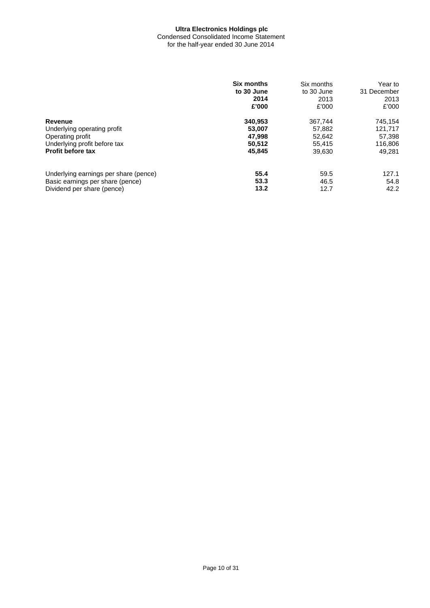#### **Ultra Electronics Holdings plc** Condensed Consolidated Income Statement for the half-year ended 30 June 2014

|                                       | <b>Six months</b><br>to 30 June<br>2014<br>£'000 | Six months<br>to 30 June<br>2013<br>£'000 | Year to<br>31 December<br>2013<br>£'000 |
|---------------------------------------|--------------------------------------------------|-------------------------------------------|-----------------------------------------|
| Revenue                               | 340,953                                          | 367.744                                   | 745,154                                 |
| Underlying operating profit           | 53,007                                           | 57,882                                    | 121,717                                 |
| Operating profit                      | 47,998                                           | 52,642                                    | 57,398                                  |
| Underlying profit before tax          | 50.512                                           | 55.415                                    | 116,806                                 |
| <b>Profit before tax</b>              | 45,845                                           | 39,630                                    | 49.281                                  |
| Underlying earnings per share (pence) | 55.4                                             | 59.5                                      | 127.1                                   |
| Basic earnings per share (pence)      | 53.3                                             | 46.5                                      | 54.8                                    |
| Dividend per share (pence)            | 13.2                                             | 12.7                                      | 42.2                                    |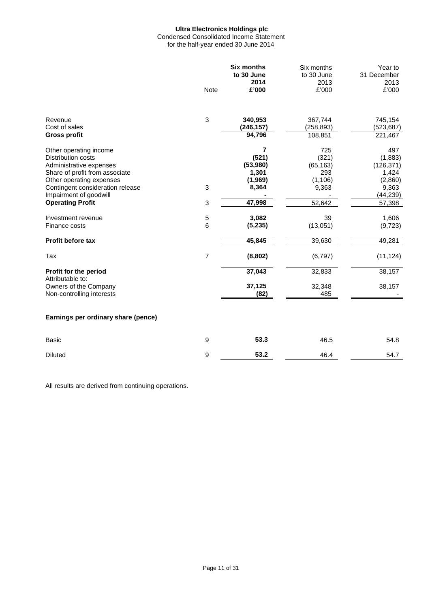## **Ultra Electronics Holdings plc** Condensed Consolidated Income Statement

for the half-year ended 30 June 2014

|                                                                                                                                                                                                                                       | <b>Note</b>          | <b>Six months</b><br>to 30 June<br>2014<br>£'000              | Six months<br>to 30 June<br>2013<br>£'000                       | Year to<br>31 December<br>2013<br>£'000                                          |
|---------------------------------------------------------------------------------------------------------------------------------------------------------------------------------------------------------------------------------------|----------------------|---------------------------------------------------------------|-----------------------------------------------------------------|----------------------------------------------------------------------------------|
| Revenue<br>Cost of sales<br><b>Gross profit</b>                                                                                                                                                                                       | 3                    | 340,953<br>(246, 157)<br>94,796                               | 367,744<br>(258, 893)<br>108,851                                | 745,154<br>(523, 687)<br>221,467                                                 |
| Other operating income<br><b>Distribution costs</b><br>Administrative expenses<br>Share of profit from associate<br>Other operating expenses<br>Contingent consideration release<br>Impairment of goodwill<br><b>Operating Profit</b> | 3<br>3               | 7<br>(521)<br>(53,980)<br>1,301<br>(1,969)<br>8,364<br>47,998 | 725<br>(321)<br>(65, 163)<br>293<br>(1, 106)<br>9,363<br>52,642 | 497<br>(1,883)<br>(126, 371)<br>1,424<br>(2,860)<br>9,363<br>(44, 239)<br>57,398 |
| Investment revenue<br>Finance costs                                                                                                                                                                                                   | 5<br>$6\phantom{1}6$ | 3,082<br>(5,235)                                              | 39<br>(13,051)                                                  | 1,606<br>(9, 723)                                                                |
| Profit before tax                                                                                                                                                                                                                     |                      | 45,845                                                        | 39,630                                                          | 49,281                                                                           |
| Tax                                                                                                                                                                                                                                   | $\overline{7}$       | (8,802)                                                       | (6, 797)                                                        | (11, 124)                                                                        |
| Profit for the period<br>Attributable to:<br>Owners of the Company<br>Non-controlling interests                                                                                                                                       |                      | 37,043<br>37,125<br>(82)                                      | 32,833<br>32,348<br>485                                         | 38,157<br>38,157                                                                 |
| Earnings per ordinary share (pence)                                                                                                                                                                                                   |                      |                                                               |                                                                 |                                                                                  |
| <b>Basic</b>                                                                                                                                                                                                                          | 9                    | 53.3                                                          | 46.5                                                            | 54.8                                                                             |
| <b>Diluted</b>                                                                                                                                                                                                                        | 9                    | 53.2                                                          | 46.4                                                            | 54.7                                                                             |

All results are derived from continuing operations.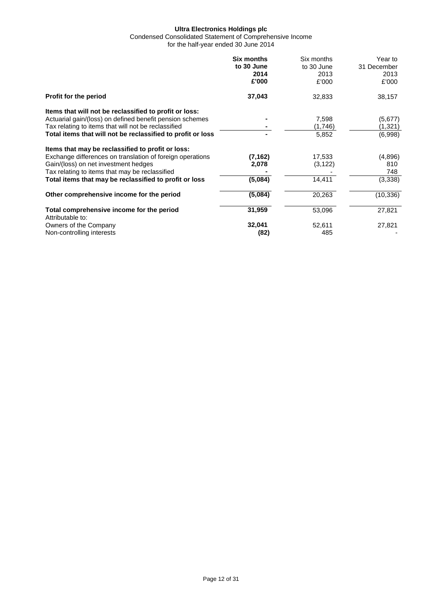Condensed Consolidated Statement of Comprehensive Income

for the half-year ended 30 June 2014

|                                                               | <b>Six months</b> | Six months | Year to     |
|---------------------------------------------------------------|-------------------|------------|-------------|
|                                                               | to 30 June        | to 30 June | 31 December |
|                                                               | 2014              | 2013       | 2013        |
|                                                               | £'000             | £'000      | £'000       |
| Profit for the period                                         | 37,043            | 32,833     | 38,157      |
| Items that will not be reclassified to profit or loss:        |                   |            |             |
| Actuarial gain/(loss) on defined benefit pension schemes      |                   | 7,598      | (5,677)     |
| Tax relating to items that will not be reclassified           |                   | (1,746)    | (1,321)     |
| Total items that will not be reclassified to profit or loss   |                   | 5,852      | (6,998)     |
| Items that may be reclassified to profit or loss:             |                   |            |             |
| Exchange differences on translation of foreign operations     | (7, 162)          | 17,533     | (4,896)     |
| Gain/(loss) on net investment hedges                          | 2,078             | (3, 122)   | 810         |
| Tax relating to items that may be reclassified                |                   |            | 748         |
| Total items that may be reclassified to profit or loss        | (5,084)           | 14,411     | (3,338)     |
| Other comprehensive income for the period                     | (5,084)           | 20,263     | (10, 336)   |
| Total comprehensive income for the period<br>Attributable to: | 31,959            | 53,096     | 27,821      |
| Owners of the Company                                         | 32,041            | 52,611     | 27,821      |
| Non-controlling interests                                     | (82)              | 485        |             |
|                                                               |                   |            |             |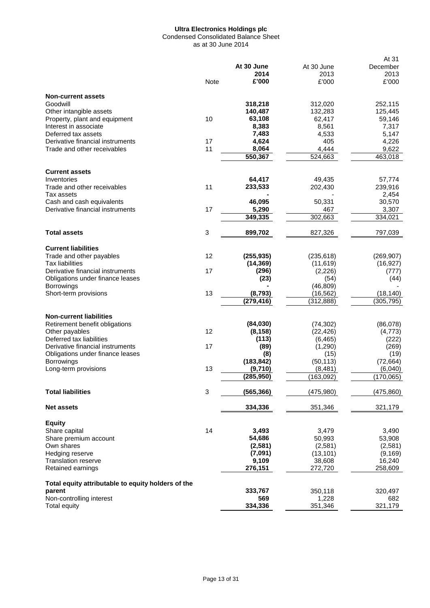Condensed Consolidated Balance Sheet as at 30 June 2014

|                                                         |          |                       |                         | At 31                  |
|---------------------------------------------------------|----------|-----------------------|-------------------------|------------------------|
|                                                         |          | At 30 June            | At 30 June              | December               |
|                                                         |          | 2014                  | 2013                    | 2013                   |
|                                                         | Note     | £'000                 | £'000                   | £'000                  |
| <b>Non-current assets</b>                               |          |                       |                         |                        |
| Goodwill                                                |          | 318,218               | 312,020                 | 252,115                |
| Other intangible assets                                 |          | 140,487               | 132,283                 | 125,445                |
| Property, plant and equipment                           | 10       | 63,108                | 62,417                  | 59,146                 |
| Interest in associate                                   |          | 8,383                 | 8,561                   | 7,317                  |
| Deferred tax assets<br>Derivative financial instruments |          | 7,483                 | 4,533                   | 5,147                  |
|                                                         | 17<br>11 | 4,624                 | 405                     | 4,226                  |
| Trade and other receivables                             |          | 8,064<br>550,367      | 4,444<br>524,663        | 9,622<br>463,018       |
|                                                         |          |                       |                         |                        |
| <b>Current assets</b><br>Inventories                    |          | 64,417                | 49,435                  | 57,774                 |
| Trade and other receivables                             | 11       | 233,533               | 202,430                 | 239,916                |
| Tax assets                                              |          |                       |                         | 2,454                  |
| Cash and cash equivalents                               |          | 46,095                | 50,331                  | 30,570                 |
| Derivative financial instruments                        | 17       | 5,290                 | 467                     | 3,307                  |
|                                                         |          | 349,335               | 302,663                 | 334,021                |
| <b>Total assets</b>                                     | 3        | 899,702               | 827,326                 | 797,039                |
|                                                         |          |                       |                         |                        |
| <b>Current liabilities</b>                              |          |                       |                         |                        |
| Trade and other payables                                | 12       | (255, 935)            | (235, 618)              | (269, 907)             |
| Tax liabilities                                         |          | (14, 369)             | (11, 619)               | (16, 927)              |
| Derivative financial instruments                        | 17       | (296)                 | (2,226)                 | (777)                  |
| Obligations under finance leases                        |          | (23)                  | (54)                    | (44)                   |
| Borrowings                                              |          |                       | (46, 809)               |                        |
| Short-term provisions                                   | 13       | (8, 793)<br>(279,416) | (16, 562)<br>(312, 888) | (18, 140)<br>(305,795) |
|                                                         |          |                       |                         |                        |
| <b>Non-current liabilities</b>                          |          |                       |                         |                        |
| Retirement benefit obligations                          |          | (84,030)              | (74, 302)               | (86,078)               |
| Other payables                                          | 12       | (8, 158)              | (22, 426)               | (4, 773)               |
| Deferred tax liabilities                                |          | (113)                 | (6, 465)                | (222)                  |
| Derivative financial instruments                        | 17       | (89)<br>(8)           | (1, 290)                | (269)                  |
| Obligations under finance leases<br><b>Borrowings</b>   |          | (183, 842)            | (15)<br>(50, 113)       | (19)<br>(72, 664)      |
| Long-term provisions                                    | 13       | (9,710)               | (8, 481)                | (6,040)                |
|                                                         |          | (285, 950)            | (163,092)               | (170,065)              |
| <b>Total liabilities</b>                                | 3        | (565, 366)            |                         |                        |
|                                                         |          |                       | (475,980)               | (475,860)              |
| <b>Net assets</b>                                       |          | 334,336               | 351,346                 | 321,179                |
| <b>Equity</b>                                           |          |                       |                         |                        |
| Share capital                                           | 14       | 3,493                 | 3,479                   | 3,490                  |
| Share premium account                                   |          | 54,686                | 50,993                  | 53,908                 |
| Own shares                                              |          | (2,581)               | (2,581)                 | (2,581)                |
| Hedging reserve                                         |          | (7,091)               | (13, 101)               | (9, 169)               |
| <b>Translation reserve</b>                              |          | 9,109                 | 38,608                  | 16,240                 |
| Retained earnings                                       |          | 276,151               | 272,720                 | 258,609                |
| Total equity attributable to equity holders of the      |          |                       |                         |                        |
| parent                                                  |          | 333,767               | 350,118                 | 320,497                |
| Non-controlling interest                                |          | 569                   | 1,228                   | 682                    |
| <b>Total equity</b>                                     |          | 334,336               | 351,346                 | 321,179                |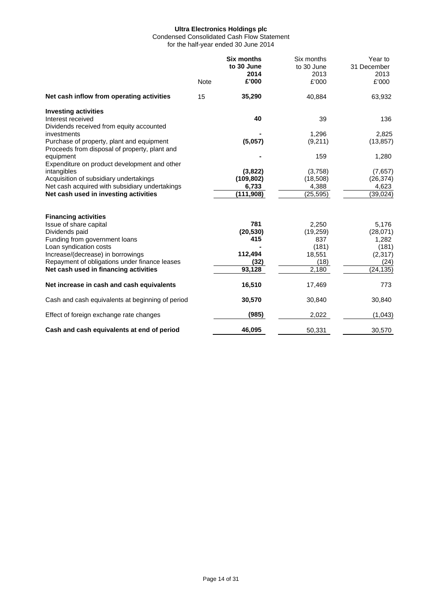Condensed Consolidated Cash Flow Statement for the half-year ended 30 June 2014

|                                                                                                                                                                                                                                                                   | <b>Note</b> | <b>Six months</b><br>to 30 June<br>2014<br>£'000     | Six months<br>to 30 June<br>2013<br>£'000                     | Year to<br>31 December<br>2013<br>£'000                              |
|-------------------------------------------------------------------------------------------------------------------------------------------------------------------------------------------------------------------------------------------------------------------|-------------|------------------------------------------------------|---------------------------------------------------------------|----------------------------------------------------------------------|
| Net cash inflow from operating activities                                                                                                                                                                                                                         | 15          | 35,290                                               | 40,884                                                        | 63,932                                                               |
| <b>Investing activities</b><br>Interest received<br>Dividends received from equity accounted                                                                                                                                                                      |             | 40                                                   | 39                                                            | 136                                                                  |
| investments<br>Purchase of property, plant and equipment<br>Proceeds from disposal of property, plant and                                                                                                                                                         |             | (5,057)                                              | 1,296<br>(9,211)                                              | 2,825<br>(13, 857)                                                   |
| equipment<br>Expenditure on product development and other                                                                                                                                                                                                         |             |                                                      | 159                                                           | 1,280                                                                |
| intangibles<br>Acquisition of subsidiary undertakings<br>Net cash acquired with subsidiary undertakings<br>Net cash used in investing activities                                                                                                                  |             | (3,822)<br>(109, 802)<br>6,733<br>(111,908)          | (3,758)<br>(18, 508)<br>4,388<br>(25, 595)                    | (7,657)<br>(26, 374)<br>4,623<br>(39, 024)                           |
| <b>Financing activities</b><br>Issue of share capital<br>Dividends paid<br>Funding from government loans<br>Loan syndication costs<br>Increase/(decrease) in borrowings<br>Repayment of obligations under finance leases<br>Net cash used in financing activities |             | 781<br>(20, 530)<br>415<br>112,494<br>(32)<br>93,128 | 2,250<br>(19, 259)<br>837<br>(181)<br>18,551<br>(18)<br>2,180 | 5,176<br>(28,071)<br>1,282<br>(181)<br>(2, 317)<br>(24)<br>(24, 135) |
| Net increase in cash and cash equivalents                                                                                                                                                                                                                         |             | 16,510                                               | 17,469                                                        | 773                                                                  |
| Cash and cash equivalents at beginning of period                                                                                                                                                                                                                  |             | 30,570                                               | 30,840                                                        | 30,840                                                               |
| Effect of foreign exchange rate changes                                                                                                                                                                                                                           |             | (985)                                                | 2,022                                                         | (1,043)                                                              |
| Cash and cash equivalents at end of period                                                                                                                                                                                                                        |             | 46,095                                               | 50,331                                                        | 30,570                                                               |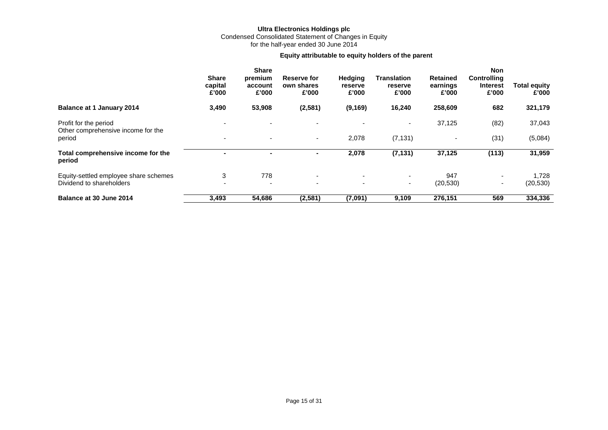#### **Ultra Electronics Holdings plc** Condensed Consolidated Statement of Changes in Equity for the half-year ended 30 June 2014

## **Equity attributable to equity holders of the parent**

|                                                                   | <b>Share</b><br>capital<br>£'000 | <b>Share</b><br>premium<br>account<br>£'000 | <b>Reserve for</b><br>own shares<br>£'000            | <b>Hedging</b><br>reserve<br>£'000                   | <b>Translation</b><br>reserve<br>£'000     | <b>Retained</b><br>earnings<br>£'000 | <b>Non</b><br><b>Controlling</b><br><b>Interest</b><br>£'000 | <b>Total equity</b><br>£'000 |
|-------------------------------------------------------------------|----------------------------------|---------------------------------------------|------------------------------------------------------|------------------------------------------------------|--------------------------------------------|--------------------------------------|--------------------------------------------------------------|------------------------------|
| <b>Balance at 1 January 2014</b>                                  | 3,490                            | 53,908                                      | (2,581)                                              | (9, 169)                                             | 16,240                                     | 258,609                              | 682                                                          | 321,179                      |
| Profit for the period<br>Other comprehensive income for the       | $\overline{\phantom{0}}$         |                                             |                                                      |                                                      | ۰                                          | 37,125                               | (82)                                                         | 37,043                       |
| period                                                            | $\sim$                           | $\overline{\phantom{0}}$                    | $\sim$                                               | 2,078                                                | (7, 131)                                   | $\overline{\phantom{a}}$             | (31)                                                         | (5,084)                      |
| Total comprehensive income for the<br>period                      |                                  | $\blacksquare$                              | ۰                                                    | 2,078                                                | (7, 131)                                   | 37,125                               | (113)                                                        | 31,959                       |
| Equity-settled employee share schemes<br>Dividend to shareholders | 3                                | 778<br>$\overline{\phantom{0}}$             | $\overline{\phantom{0}}$<br>$\overline{\phantom{0}}$ | $\overline{\phantom{0}}$<br>$\overline{\phantom{a}}$ | $\overline{a}$<br>$\overline{\phantom{a}}$ | 947<br>(20, 530)                     | $\overline{\phantom{0}}$                                     | 1,728<br>(20, 530)           |
| Balance at 30 June 2014                                           | 3,493                            | 54,686                                      | (2,581)                                              | (7,091)                                              | 9,109                                      | 276,151                              | 569                                                          | 334,336                      |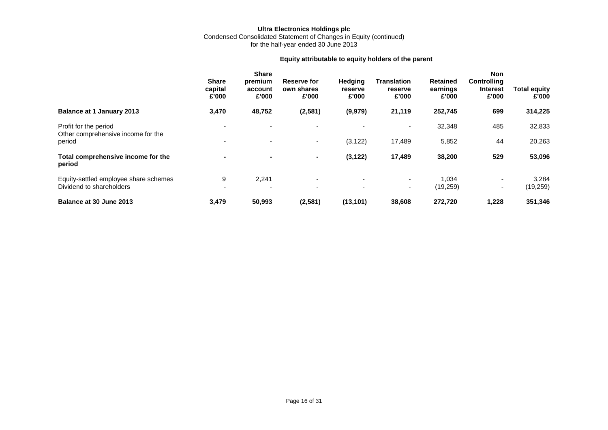#### **Ultra Electronics Holdings plc** Condensed Consolidated Statement of Changes in Equity (continued) for the half-year ended 30 June 2013

## **Equity attributable to equity holders of the parent**

|                                                                   | <b>Share</b><br>capital<br>£'000 | <b>Share</b><br>premium<br>account<br>£'000 | <b>Reserve for</b><br>own shares<br>£'000 | Hedging<br>reserve<br>£'000    | <b>Translation</b><br>reserve<br>£'000 | <b>Retained</b><br>earnings<br>£'000 | <b>Non</b><br><b>Controlling</b><br><b>Interest</b><br>£'000 | <b>Total equity</b><br>£'000 |
|-------------------------------------------------------------------|----------------------------------|---------------------------------------------|-------------------------------------------|--------------------------------|----------------------------------------|--------------------------------------|--------------------------------------------------------------|------------------------------|
| <b>Balance at 1 January 2013</b>                                  | 3,470                            | 48,752                                      | (2,581)                                   | (9,979)                        | 21,119                                 | 252,745                              | 699                                                          | 314,225                      |
| Profit for the period                                             | $\overline{\phantom{0}}$         | $\overline{a}$                              |                                           |                                | $\sim$                                 | 32,348                               | 485                                                          | 32,833                       |
| Other comprehensive income for the<br>period                      | $\overline{\phantom{a}}$         | $\sim$                                      | $\sim$                                    | (3, 122)                       | 17,489                                 | 5,852                                | 44                                                           | 20,263                       |
| Total comprehensive income for the<br>period                      | $\blacksquare$                   | $\blacksquare$                              | $\blacksquare$                            | (3, 122)                       | 17,489                                 | 38,200                               | 529                                                          | 53,096                       |
| Equity-settled employee share schemes<br>Dividend to shareholders | 9<br>$\overline{\phantom{a}}$    | 2,241<br>$\overline{\phantom{a}}$           | $\sim$<br>$\overline{\phantom{0}}$        | $\overline{\phantom{0}}$<br>۰. | $\sim$<br>$\sim$                       | 1,034<br>(19,259)                    | ۰.<br>۰                                                      | 3,284<br>(19,259)            |
| Balance at 30 June 2013                                           | 3,479                            | 50,993                                      | (2,581)                                   | (13, 101)                      | 38,608                                 | 272,720                              | 1,228                                                        | 351,346                      |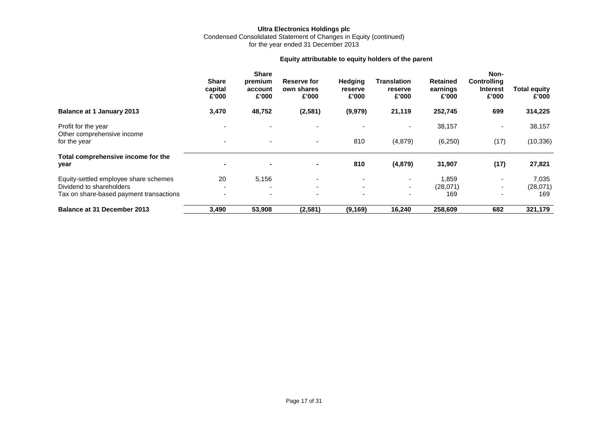#### **Ultra Electronics Holdings plc** Condensed Consolidated Statement of Changes in Equity (continued) for the year ended 31 December 2013

## **Equity attributable to equity holders of the parent**

|                                                   | <b>Share</b><br>capital<br>£'000 | <b>Share</b><br>premium<br>account<br>£'000 | <b>Reserve for</b><br>own shares<br>£'000 | <b>Hedging</b><br>reserve<br>£'000 | Translation<br>reserve<br>£'000 | <b>Retained</b><br>earnings<br>£'000 | Non-<br><b>Controlling</b><br><b>Interest</b><br>£'000 | <b>Total equity</b><br>£'000 |
|---------------------------------------------------|----------------------------------|---------------------------------------------|-------------------------------------------|------------------------------------|---------------------------------|--------------------------------------|--------------------------------------------------------|------------------------------|
| <b>Balance at 1 January 2013</b>                  | 3,470                            | 48,752                                      | (2,581)                                   | (9,979)                            | 21,119                          | 252,745                              | 699                                                    | 314,225                      |
| Profit for the year<br>Other comprehensive income |                                  |                                             |                                           |                                    | ٠                               | 38,157                               |                                                        | 38,157                       |
| for the year                                      |                                  | $\blacksquare$                              | $\overline{\phantom{a}}$                  | 810                                | (4, 879)                        | (6, 250)                             | (17)                                                   | (10, 336)                    |
| Total comprehensive income for the<br>year        |                                  |                                             | $\blacksquare$                            | 810                                | (4,879)                         | 31,907                               | (17)                                                   | 27,821                       |
| Equity-settled employee share schemes             | 20                               | 5,156                                       | $\overline{\phantom{0}}$                  | ٠                                  | $\sim$                          | 1,859                                | $\sim$                                                 | 7,035                        |
| Dividend to shareholders                          | $\overline{\phantom{0}}$         | $\overline{\phantom{0}}$                    | ۰.                                        | ۰                                  | $\sim$                          | (28,071)                             | $\overline{\phantom{0}}$                               | (28,071)                     |
| Tax on share-based payment transactions           |                                  | $\overline{\phantom{a}}$                    | $\overline{\phantom{0}}$                  | $\overline{\phantom{0}}$           | ۰                               | 169                                  |                                                        | 169                          |
| <b>Balance at 31 December 2013</b>                | 3,490                            | 53,908                                      | (2,581)                                   | (9, 169)                           | 16,240                          | 258,609                              | 682                                                    | 321,179                      |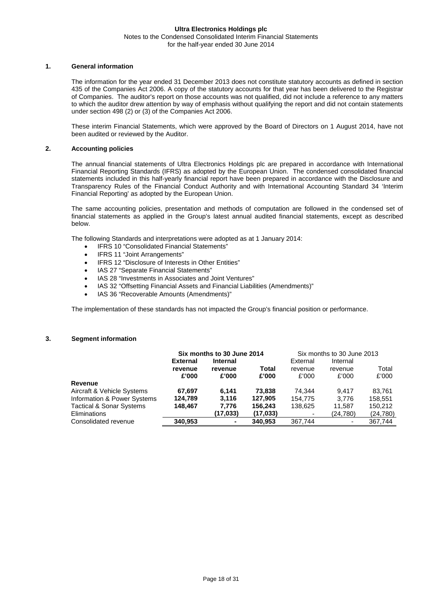#### **Ultra Electronics Holdings plc** Notes to the Condensed Consolidated Interim Financial Statements for the half-year ended 30 June 2014

#### **1. General information**

The information for the year ended 31 December 2013 does not constitute statutory accounts as defined in section 435 of the Companies Act 2006. A copy of the statutory accounts for that year has been delivered to the Registrar of Companies. The auditor's report on those accounts was not qualified, did not include a reference to any matters to which the auditor drew attention by way of emphasis without qualifying the report and did not contain statements under section 498 (2) or (3) of the Companies Act 2006.

These interim Financial Statements, which were approved by the Board of Directors on 1 August 2014, have not been audited or reviewed by the Auditor.

#### **2. Accounting policies**

The annual financial statements of Ultra Electronics Holdings plc are prepared in accordance with International Financial Reporting Standards (IFRS) as adopted by the European Union. The condensed consolidated financial statements included in this half-yearly financial report have been prepared in accordance with the Disclosure and Transparency Rules of the Financial Conduct Authority and with International Accounting Standard 34 'Interim Financial Reporting' as adopted by the European Union.

The same accounting policies, presentation and methods of computation are followed in the condensed set of financial statements as applied in the Group's latest annual audited financial statements, except as described below.

The following Standards and interpretations were adopted as at 1 January 2014:

- IFRS 10 "Consolidated Financial Statements"
- IFRS 11 "Joint Arrangements"
- IFRS 12 "Disclosure of Interests in Other Entities"
- IAS 27 "Separate Financial Statements"
- IAS 28 "Investments in Associates and Joint Ventures"
- IAS 32 "Offsetting Financial Assets and Financial Liabilities (Amendments)"
- IAS 36 "Recoverable Amounts (Amendments)"

The implementation of these standards has not impacted the Group's financial position or performance.

#### **3. Segment information**

|                                     | Six months to 30 June 2014 |                 |          | Six months to 30 June 2013 |          |           |  |
|-------------------------------------|----------------------------|-----------------|----------|----------------------------|----------|-----------|--|
|                                     | <b>External</b>            | <b>Internal</b> |          | External                   | Internal |           |  |
|                                     | revenue                    | revenue         | Total    | revenue                    | revenue  | Total     |  |
|                                     | £'000                      | £'000           | £'000    | £'000                      | £'000    | £'000     |  |
| Revenue                             |                            |                 |          |                            |          |           |  |
| Aircraft & Vehicle Systems          | 67.697                     | 6.141           | 73,838   | 74.344                     | 9.417    | 83.761    |  |
| Information & Power Systems         | 124.789                    | 3.116           | 127.905  | 154.775                    | 3.776    | 158.551   |  |
| <b>Tactical &amp; Sonar Systems</b> | 148,467                    | 7,776           | 156.243  | 138.625                    | 11,587   | 150.212   |  |
| Eliminations                        |                            | (17, 033)       | (17,033) |                            | (24,780) | (24, 780) |  |
| Consolidated revenue                | 340,953                    |                 | 340.953  | 367,744                    |          | 367,744   |  |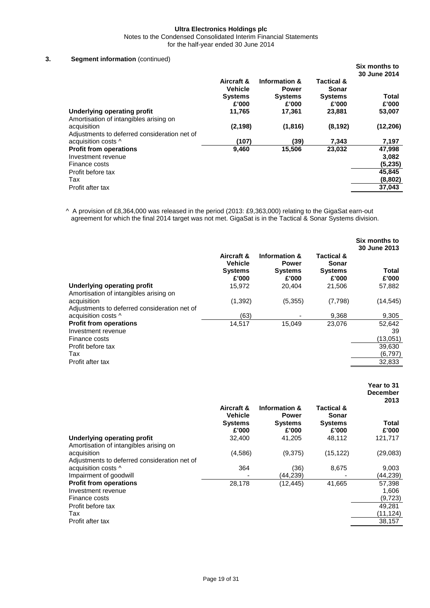Notes to the Condensed Consolidated Interim Financial Statements

for the half-year ended 30 June 2014

#### **3. Segment information** (continued)

|                                                                       |                              |                               |                     | Six months to |
|-----------------------------------------------------------------------|------------------------------|-------------------------------|---------------------|---------------|
|                                                                       |                              |                               |                     | 30 June 2014  |
|                                                                       | Aircraft &<br><b>Vehicle</b> | Information &<br><b>Power</b> | Tactical &<br>Sonar |               |
|                                                                       | <b>Systems</b>               | <b>Systems</b>                | <b>Systems</b>      | Total         |
|                                                                       | £'000                        | £'000                         | £'000               | £'000         |
| Underlying operating profit<br>Amortisation of intangibles arising on | 11,765                       | 17,361                        | 23,881              | 53,007        |
| acquisition<br>Adjustments to deferred consideration net of           | (2, 198)                     | (1, 816)                      | (8, 192)            | (12, 206)     |
| acquisition costs ^                                                   | (107)                        | (39)                          | 7,343               | 7,197         |
| <b>Profit from operations</b>                                         | 9,460                        | 15,506                        | 23,032              | 47,998        |
| Investment revenue                                                    |                              |                               |                     | 3,082         |
| Finance costs                                                         |                              |                               |                     | (5,235)       |
| Profit before tax                                                     |                              |                               |                     | 45,845        |
| Tax                                                                   |                              |                               |                     | (8,802)       |
| Profit after tax                                                      |                              |                               |                     | 37,043        |
|                                                                       |                              |                               |                     |               |

^ A provision of £8,364,000 was released in the period (2013: £9,363,000) relating to the GigaSat earn-out agreement for which the final 2014 target was not met. GigaSat is in the Tactical & Sonar Systems division.

|                                                                       | Aircraft &<br><b>Vehicle</b> | Information &<br><b>Power</b> | Tactical &<br><b>Sonar</b> | Six months to<br>30 June 2013 |
|-----------------------------------------------------------------------|------------------------------|-------------------------------|----------------------------|-------------------------------|
|                                                                       | <b>Systems</b><br>£'000      | <b>Systems</b><br>£'000       | <b>Systems</b><br>£'000    | Total<br>£'000                |
|                                                                       |                              | 20.404                        |                            |                               |
| Underlying operating profit<br>Amortisation of intangibles arising on | 15,972                       |                               | 21,506                     | 57,882                        |
| acquisition                                                           | (1, 392)                     | (5,355)                       | (7, 798)                   | (14, 545)                     |
| Adjustments to deferred consideration net of                          |                              |                               |                            |                               |
| acquisition costs ^                                                   | (63)                         |                               | 9,368                      | 9,305                         |
| <b>Profit from operations</b>                                         | 14,517                       | 15,049                        | 23,076                     | 52,642                        |
| Investment revenue                                                    |                              |                               |                            | 39                            |
| Finance costs                                                         |                              |                               |                            | (13, 051)                     |
| Profit before tax                                                     |                              |                               |                            | 39,630                        |
| Tax                                                                   |                              |                               |                            | (6, 797)                      |
| Profit after tax                                                      |                              |                               |                            | 32,833                        |
|                                                                       |                              |                               |                            |                               |

|                                                                       |                                                |                                                 |                                                  | <b>Year to 31</b><br><b>December</b><br>2013 |
|-----------------------------------------------------------------------|------------------------------------------------|-------------------------------------------------|--------------------------------------------------|----------------------------------------------|
|                                                                       | Aircraft &<br><b>Vehicle</b><br><b>Systems</b> | Information &<br><b>Power</b><br><b>Systems</b> | <b>Tactical &amp;</b><br>Sonar<br><b>Systems</b> | Total                                        |
|                                                                       | £'000                                          | £'000                                           | £'000                                            | £'000                                        |
| Underlying operating profit<br>Amortisation of intangibles arising on | 32,400                                         | 41,205                                          | 48,112                                           | 121,717                                      |
| acquisition                                                           | (4,586)                                        | (9,375)                                         | (15, 122)                                        | (29,083)                                     |
| Adjustments to deferred consideration net of                          |                                                |                                                 |                                                  |                                              |
| acquisition costs ^                                                   | 364                                            | (36)                                            | 8,675                                            | 9,003                                        |
| Impairment of goodwill                                                |                                                | (44,239)                                        |                                                  | (44,239)                                     |
| <b>Profit from operations</b>                                         | 28,178                                         | (12, 445)                                       | 41,665                                           | 57,398                                       |
| Investment revenue                                                    |                                                |                                                 |                                                  | 1,606                                        |
| Finance costs                                                         |                                                |                                                 |                                                  | (9,723)                                      |
| Profit before tax                                                     |                                                |                                                 |                                                  | 49,281                                       |
| Tax                                                                   |                                                |                                                 |                                                  | (11,124)                                     |
| Profit after tax                                                      |                                                |                                                 |                                                  | 38,157                                       |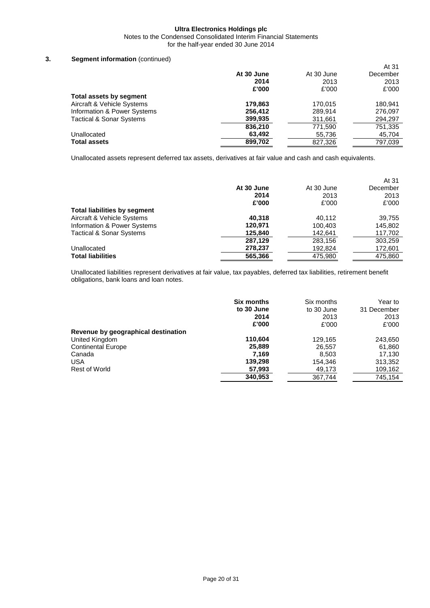Notes to the Condensed Consolidated Interim Financial Statements

for the half-year ended 30 June 2014

#### **3. Segment information** (continued)

|            |            | At 31    |
|------------|------------|----------|
| At 30 June | At 30 June | December |
| 2014       | 2013       | 2013     |
| £'000      | £'000      | £'000    |
|            |            |          |
| 179,863    | 170.015    | 180,941  |
| 256,412    | 289,914    | 276,097  |
| 399,935    | 311,661    | 294,297  |
| 836,210    | 771,590    | 751,335  |
| 63,492     | 55,736     | 45,704   |
| 899,702    | 827,326    | 797,039  |
|            |            |          |

Unallocated assets represent deferred tax assets, derivatives at fair value and cash and cash equivalents.

|                                     |            |            | At 31    |
|-------------------------------------|------------|------------|----------|
|                                     | At 30 June | At 30 June | December |
|                                     | 2014       | 2013       | 2013     |
|                                     | £'000      | £'000      | £'000    |
| <b>Total liabilities by segment</b> |            |            |          |
| Aircraft & Vehicle Systems          | 40.318     | 40.112     | 39,755   |
| Information & Power Systems         | 120.971    | 100.403    | 145,802  |
| <b>Tactical &amp; Sonar Systems</b> | 125,840    | 142,641    | 117,702  |
|                                     | 287,129    | 283,156    | 303,259  |
| Unallocated                         | 278,237    | 192,824    | 172,601  |
| <b>Total liabilities</b>            | 565,366    | 475.980    | 475.860  |

Unallocated liabilities represent derivatives at fair value, tax payables, deferred tax liabilities, retirement benefit obligations, bank loans and loan notes.

| <b>Six months</b><br>Six months               | Year to     |
|-----------------------------------------------|-------------|
| to 30 June<br>to 30 June                      | 31 December |
| 2014<br>2013                                  | 2013        |
| £'000<br>£'000                                | £'000       |
| Revenue by geographical destination           |             |
| United Kingdom<br>110,604<br>129,165          | 243,650     |
| 25,889<br><b>Continental Europe</b><br>26,557 | 61,860      |
| Canada<br>7,169<br>8,503                      | 17,130      |
| USA<br>139,298<br>154.346                     | 313,352     |
| Rest of World<br>57,993<br>49,173             | 109,162     |
| 340,953<br>367,744                            | 745.154     |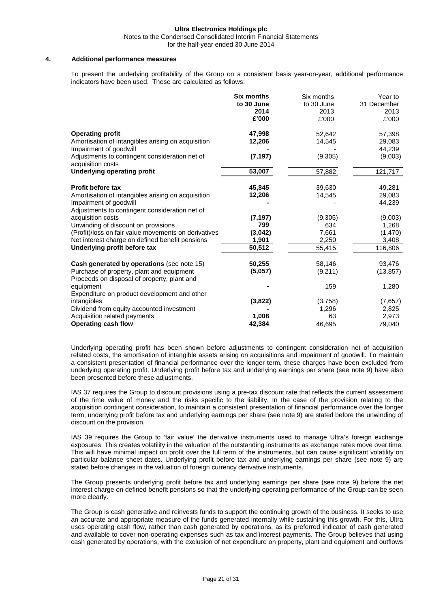#### **Ultra Electronics Holdings plc** Notes to the Condensed Consolidated Interim Financial Statements

for the half-year ended 30 June 2014

#### **4. Additional performance measures**

To present the underlying profitability of the Group on a consistent basis year-on-year, additional performance indicators have been used. These are calculated as follows:

|                                                                              | Six months | Six months | Year to          |
|------------------------------------------------------------------------------|------------|------------|------------------|
|                                                                              | to 30 June | to 30 June | 31 December      |
|                                                                              | 2014       | 2013       | 2013             |
|                                                                              | £'000      | £'000      | £'000            |
| <b>Operating profit</b>                                                      | 47,998     | 52,642     | 57,398           |
| Amortisation of intangibles arising on acquisition<br>Impairment of goodwill | 12,206     | 14,545     | 29,083<br>44,239 |
| Adjustments to contingent consideration net of<br>acquisition costs          | (7, 197)   | (9,305)    | (9,003)          |
| <b>Underlying operating profit</b>                                           | 53,007     | 57,882     | 121,717          |
| <b>Profit before tax</b>                                                     | 45,845     | 39,630     | 49,281           |
| Amortisation of intangibles arising on acquisition                           | 12,206     | 14,545     | 29,083           |
| Impairment of goodwill                                                       |            |            | 44,239           |
| Adjustments to contingent consideration net of                               |            |            |                  |
| acquisition costs                                                            | (7, 197)   | (9,305)    | (9,003)          |
| Unwinding of discount on provisions                                          | 799        | 634        | 1,268            |
| (Profit)/loss on fair value movements on derivatives                         | (3,042)    | 7,661      | (1, 470)         |
| Net interest charge on defined benefit pensions                              | 1,901      | 2,250      | 3,408            |
| Underlying profit before tax                                                 | 50,512     | 55,415     | 116,806          |
| Cash generated by operations (see note 15)                                   | 50,255     | 58,146     | 93,476           |
| Purchase of property, plant and equipment                                    | (5,057)    | (9,211)    | (13, 857)        |
| Proceeds on disposal of property, plant and                                  |            |            |                  |
| equipment                                                                    |            | 159        | 1,280            |
| Expenditure on product development and other                                 |            |            |                  |
| intangibles                                                                  | (3,822)    | (3,758)    | (7,657)          |
| Dividend from equity accounted investment                                    |            | 1,296      | 2,825            |
| Acquisition related payments                                                 | 1,008      | 63         | 2,973            |
| <b>Operating cash flow</b>                                                   | 42,384     | 46,695     | 79,040           |

Underlying operating profit has been shown before adjustments to contingent consideration net of acquisition related costs, the amortisation of intangible assets arising on acquisitions and impairment of goodwill. To maintain a consistent presentation of financial performance over the longer term, these charges have been excluded from underlying operating profit. Underlying profit before tax and underlying earnings per share (see note 9) have also been presented before these adjustments.

IAS 37 requires the Group to discount provisions using a pre-tax discount rate that reflects the current assessment of the time value of money and the risks specific to the liability. In the case of the provision relating to the acquisition contingent consideration, to maintain a consistent presentation of financial performance over the longer term, underlying profit before tax and underlying earnings per share (see note 9) are stated before the unwinding of discount on the provision.

IAS 39 requires the Group to 'fair value' the derivative instruments used to manage Ultra's foreign exchange exposures. This creates volatility in the valuation of the outstanding instruments as exchange rates move over time. This will have minimal impact on profit over the full term of the instruments, but can cause significant volatility on particular balance sheet dates. Underlying profit before tax and underlying earnings per share (see note 9) are stated before changes in the valuation of foreign currency derivative instruments.

The Group presents underlying profit before tax and underlying earnings per share (see note 9) before the net interest charge on defined benefit pensions so that the underlying operating performance of the Group can be seen more clearly.

The Group is cash generative and reinvests funds to support the continuing growth of the business. It seeks to use an accurate and appropriate measure of the funds generated internally while sustaining this growth. For this, Ultra uses operating cash flow, rather than cash generated by operations, as its preferred indicator of cash generated and available to cover non-operating expenses such as tax and interest payments. The Group believes that using cash generated by operations, with the exclusion of net expenditure on property, plant and equipment and outflows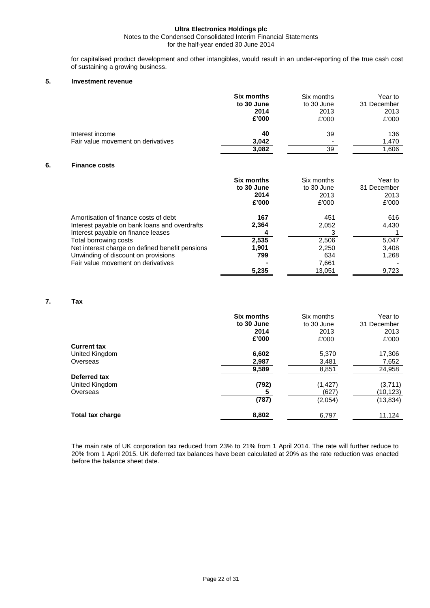Notes to the Condensed Consolidated Interim Financial Statements

for the half-year ended 30 June 2014

for capitalised product development and other intangibles, would result in an under-reporting of the true cash cost of sustaining a growing business.

#### **5. Investment revenue**

|    |                                                                                                                                                                                                                                                                                       | <b>Six months</b><br>to 30 June<br>2014<br>£'000    | Six months<br>to 30 June<br>2013<br>£'000                     | Year to<br>31 December<br>2013<br>£'000          |
|----|---------------------------------------------------------------------------------------------------------------------------------------------------------------------------------------------------------------------------------------------------------------------------------------|-----------------------------------------------------|---------------------------------------------------------------|--------------------------------------------------|
|    | Interest income<br>Fair value movement on derivatives                                                                                                                                                                                                                                 | 40<br>3,042<br>3,082                                | 39<br>39                                                      | 136<br>1,470<br>1,606                            |
| 6. | <b>Finance costs</b>                                                                                                                                                                                                                                                                  |                                                     |                                                               |                                                  |
|    |                                                                                                                                                                                                                                                                                       | Six months<br>to 30 June<br>2014<br>£'000           | Six months<br>to 30 June<br>2013<br>£'000                     | Year to<br>31 December<br>2013<br>£'000          |
|    | Amortisation of finance costs of debt<br>Interest payable on bank loans and overdrafts<br>Interest payable on finance leases<br>Total borrowing costs<br>Net interest charge on defined benefit pensions<br>Unwinding of discount on provisions<br>Fair value movement on derivatives | 167<br>2,364<br>4<br>2,535<br>1,901<br>799<br>5,235 | 451<br>2,052<br>3<br>2,506<br>2,250<br>634<br>7,661<br>13,051 | 616<br>4,430<br>5,047<br>3,408<br>1,268<br>9,723 |

#### **7. Tax**

|                    | <b>Six months</b><br>to 30 June | Six months<br>to 30 June | Year to<br>31 December |
|--------------------|---------------------------------|--------------------------|------------------------|
|                    | 2014                            | 2013                     | 2013                   |
|                    | £'000                           | £'000                    | £'000                  |
| <b>Current tax</b> |                                 |                          |                        |
| United Kingdom     | 6,602                           | 5,370                    | 17,306                 |
| Overseas           | 2,987                           | 3,481                    | 7,652                  |
|                    | 9,589                           | 8,851                    | 24,958                 |
| Deferred tax       |                                 |                          |                        |
| United Kingdom     | (792)                           | (1, 427)                 | (3,711)                |
| Overseas           | 5                               | (627)                    | (10, 123)              |
|                    | (787)                           | (2,054)                  | (13,834)               |
| Total tax charge   | 8,802                           | 6,797                    | 11,124                 |

The main rate of UK corporation tax reduced from 23% to 21% from 1 April 2014. The rate will further reduce to 20% from 1 April 2015. UK deferred tax balances have been calculated at 20% as the rate reduction was enacted before the balance sheet date.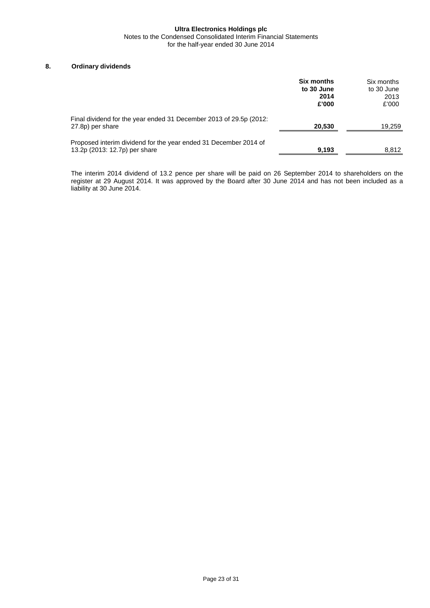Notes to the Condensed Consolidated Interim Financial Statements for the half-year ended 30 June 2014

## **8. Ordinary dividends**

|                                                                                                   | <b>Six months</b><br>to 30 June<br>2014<br>£'000 | Six months<br>to 30 June<br>2013<br>£'000 |
|---------------------------------------------------------------------------------------------------|--------------------------------------------------|-------------------------------------------|
| Final dividend for the year ended 31 December 2013 of 29.5p (2012:<br>27.8p) per share            | 20,530                                           | 19,259                                    |
| Proposed interim dividend for the year ended 31 December 2014 of<br>13.2p (2013: 12.7p) per share | 9.193                                            | 8,812                                     |

The interim 2014 dividend of 13.2 pence per share will be paid on 26 September 2014 to shareholders on the register at 29 August 2014. It was approved by the Board after 30 June 2014 and has not been included as a liability at 30 June 2014.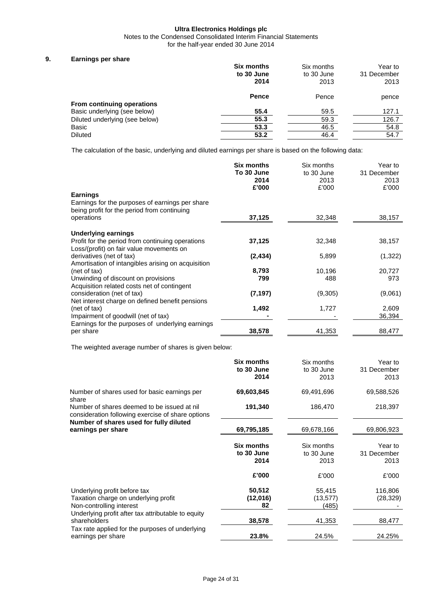Notes to the Condensed Consolidated Interim Financial Statements

for the half-year ended 30 June 2014

#### **9. Earnings per share**

|                                | <b>Six months</b><br>to 30 June<br>2014 | Six months<br>to 30 June<br>2013 | Year to<br>31 December<br>2013 |
|--------------------------------|-----------------------------------------|----------------------------------|--------------------------------|
| From continuing operations     | <b>Pence</b>                            | Pence                            | pence                          |
| Basic underlying (see below)   | 55.4                                    | 59.5                             | 127.1                          |
| Diluted underlying (see below) | 55.3                                    | 59.3                             | 126.7                          |
| Basic                          | 53.3                                    | 46.5                             | 54.8                           |
| <b>Diluted</b>                 | 53.2                                    | 46.4                             | 54.7                           |

The calculation of the basic, underlying and diluted earnings per share is based on the following data:

|                                                                                                                                                          | <b>Six months</b><br>To 30 June<br>2014<br>£'000 | Six months<br>to 30 June<br>2013<br>£'000 | Year to<br>31 December<br>2013<br>£'000 |
|----------------------------------------------------------------------------------------------------------------------------------------------------------|--------------------------------------------------|-------------------------------------------|-----------------------------------------|
| <b>Earnings</b><br>Earnings for the purposes of earnings per share<br>being profit for the period from continuing<br>operations                          | 37,125                                           | 32,348                                    | 38,157                                  |
| <b>Underlying earnings</b><br>Profit for the period from continuing operations<br>Loss/(profit) on fair value movements on                               | 37,125                                           | 32,348                                    | 38,157                                  |
| derivatives (net of tax)                                                                                                                                 | (2, 434)                                         | 5,899                                     | (1, 322)                                |
| Amortisation of intangibles arising on acquisition<br>(net of tax)<br>Unwinding of discount on provisions<br>Acquisition related costs net of contingent | 8,793<br>799                                     | 10,196<br>488                             | 20,727<br>973                           |
| consideration (net of tax)<br>Net interest charge on defined benefit pensions                                                                            | (7, 197)                                         | (9,305)                                   | (9,061)                                 |
| (net of tax)<br>Impairment of goodwill (net of tax)                                                                                                      | 1,492                                            | 1,727                                     | 2,609<br>36,394                         |
| Earnings for the purposes of underlying earnings<br>per share                                                                                            | 38,578                                           | 41,353                                    | 88,477                                  |
| The weighted average number of shares is given below:                                                                                                    |                                                  |                                           |                                         |
|                                                                                                                                                          | <b>Six months</b><br>to 30 June<br>2014          | Six months<br>to 30 June<br>2013          | Year to<br>31 December<br>2013          |
| Number of shares used for basic earnings per                                                                                                             | 69,603,845                                       | 69,491,696                                | 69,588,526                              |
| share<br>Number of shares deemed to be issued at nil<br>consideration following exercise of share options                                                | 191,340                                          | 186,470                                   | 218,397                                 |
| Number of shares used for fully diluted<br>earnings per share                                                                                            | 69,795,185                                       | 69,678,166                                | 69,806,923                              |
|                                                                                                                                                          | <b>Six months</b><br>to 30 June<br>2014          | Six months<br>to 30 June<br>2013          | Year to<br>31 December<br>2013          |
|                                                                                                                                                          | £'000                                            | £'000                                     | £'000                                   |
| Underlying profit before tax<br>Taxation charge on underlying profit<br>Non-controlling interest                                                         | 50,512<br>(12,016)<br>82                         | 55,415<br>(13, 577)<br>(485)              | 116,806<br>(28, 329)                    |
| Underlying profit after tax attributable to equity<br>shareholders                                                                                       | 38,578                                           | 41,353                                    | 88,477                                  |
| Tax rate applied for the purposes of underlying<br>earnings per share                                                                                    | 23.8%                                            | 24.5%                                     | 24.25%                                  |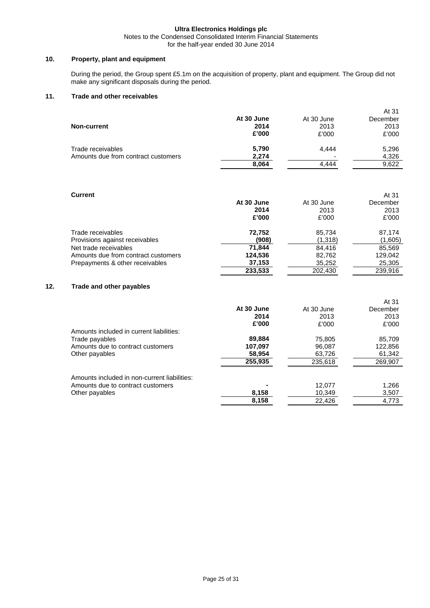#### **Ultra Electronics Holdings plc** Notes to the Condensed Consolidated Interim Financial Statements

for the half-year ended 30 June 2014

#### **10. Property, plant and equipment**

During the period, the Group spent £5.1m on the acquisition of property, plant and equipment. The Group did not make any significant disposals during the period.

## **11. Trade and other receivables**

| <b>Non-current</b>                                       | At 30 June<br>2014<br>£'000 | At 30 June<br>2013<br>£'000 | At 31<br>December<br>2013<br>£'000 |
|----------------------------------------------------------|-----------------------------|-----------------------------|------------------------------------|
| Trade receivables<br>Amounts due from contract customers | 5,790<br>2,274              | 4.444                       | 5,296<br>4,326                     |
|                                                          | 8,064                       | 4.444                       | 9,622                              |

#### **Current**

|            |            | , , , , , |
|------------|------------|-----------|
| At 30 June | At 30 June | December  |
| 2014       | 2013       | 2013      |
| £'000      | £'000      | £'000     |
| 72,752     | 85.734     | 87.174    |
| (908)      | (1,318)    | (1,605)   |
| 71.844     | 84.416     | 85,569    |
| 124,536    | 82,762     | 129,042   |
| 37,153     | 35,252     | 25,305    |
| 233.533    | 202.430    | 239.916   |
|            |            |           |

At 31

#### **12. Trade and other payables**

|                                              | At 30 June<br>2014<br>£'000 | At 30 June<br>2013<br>£'000 | At 31<br>December<br>2013<br>£'000 |
|----------------------------------------------|-----------------------------|-----------------------------|------------------------------------|
| Amounts included in current liabilities:     |                             |                             |                                    |
| Trade payables                               | 89,884                      | 75,805                      | 85,709                             |
| Amounts due to contract customers            | 107,097                     | 96.087                      | 122,856                            |
| Other payables                               | 58,954                      | 63,726                      | 61,342                             |
|                                              | 255,935                     | 235,618                     | 269,907                            |
| Amounts included in non-current liabilities: |                             |                             |                                    |
| Amounts due to contract customers            |                             | 12.077                      | 1,266                              |
| Other payables                               | 8,158                       | 10,349                      | 3,507                              |
|                                              | 8,158                       | 22.426                      | 4.773                              |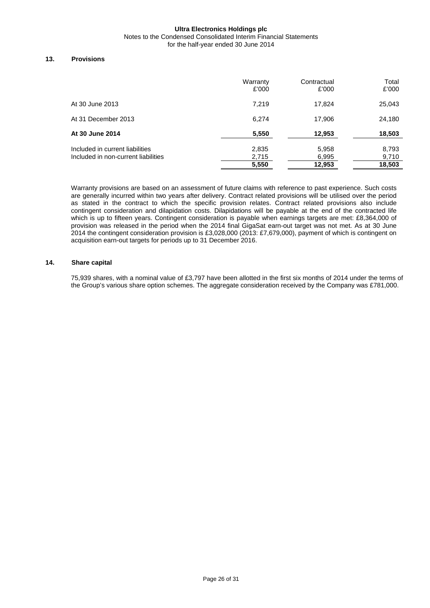Notes to the Condensed Consolidated Interim Financial Statements

for the half-year ended 30 June 2014

#### **13. Provisions**

|                                                                        | Warranty<br>£'000       | Contractual<br>£'000     | Total<br>£'000           |
|------------------------------------------------------------------------|-------------------------|--------------------------|--------------------------|
| At 30 June 2013                                                        | 7.219                   | 17.824                   | 25,043                   |
| At 31 December 2013                                                    | 6,274                   | 17.906                   | 24,180                   |
| At 30 June 2014                                                        | 5,550                   | 12,953                   | 18,503                   |
| Included in current liabilities<br>Included in non-current liabilities | 2,835<br>2,715<br>5,550 | 5,958<br>6,995<br>12,953 | 8,793<br>9,710<br>18,503 |

Warranty provisions are based on an assessment of future claims with reference to past experience. Such costs are generally incurred within two years after delivery. Contract related provisions will be utilised over the period as stated in the contract to which the specific provision relates. Contract related provisions also include contingent consideration and dilapidation costs. Dilapidations will be payable at the end of the contracted life which is up to fifteen years. Contingent consideration is payable when earnings targets are met: £8,364,000 of provision was released in the period when the 2014 final GigaSat earn-out target was not met. As at 30 June 2014 the contingent consideration provision is £3,028,000 (2013: £7,679,000), payment of which is contingent on acquisition earn-out targets for periods up to 31 December 2016.

#### **14. Share capital**

75,939 shares, with a nominal value of £3,797 have been allotted in the first six months of 2014 under the terms of the Group's various share option schemes. The aggregate consideration received by the Company was £781,000.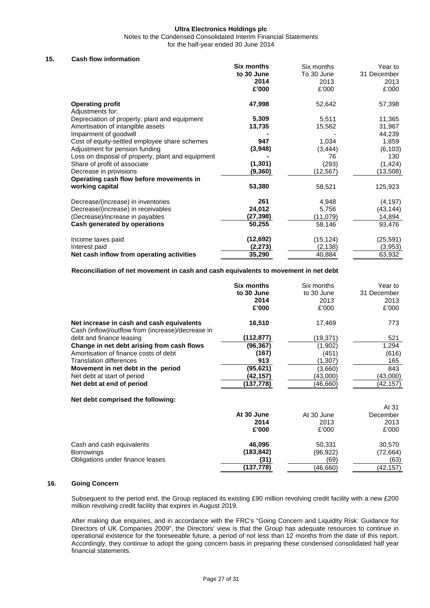Notes to the Condensed Consolidated Interim Financial Statements

for the half-year ended 30 June 2014

#### **15. Cash flow information**

|                                                   | <b>Six months</b> | Six months | Year to     |
|---------------------------------------------------|-------------------|------------|-------------|
|                                                   | to 30 June        | To 30 June | 31 December |
|                                                   | 2014              | 2013       | 2013        |
|                                                   | £'000             | £'000      | £'000       |
| <b>Operating profit</b>                           | 47,998            | 52,642     | 57,398      |
| Adjustments for:                                  |                   |            |             |
| Depreciation of property, plant and equipment     | 5,309             | 5,511      | 11,365      |
| Amortisation of intangible assets                 | 13,735            | 15,562     | 31,967      |
| Impairment of goodwill                            |                   |            | 44,239      |
| Cost of equity-settled employee share schemes     | 947               | 1,034      | 1,859       |
| Adjustment for pension funding                    | (3,948)           | (3, 444)   | (6, 103)    |
| Loss on disposal of property, plant and equipment |                   | 76         | 130         |
| Share of profit of associate                      | (1, 301)          | (293)      | (1, 424)    |
| Decrease in provisions                            | (9,360)           | (12, 567)  | (13, 508)   |
| Operating cash flow before movements in           |                   |            |             |
| working capital                                   | 53,380            | 58,521     | 125,923     |
| Decrease/(increase) in inventories                | 261               | 4,948      | (4, 197)    |
| Decrease/(increase) in receivables                | 24,012            | 5,756      | (43, 144)   |
| (Decrease)/increase in payables                   | (27,398)          | (11,079)   | 14,894      |
| Cash generated by operations                      | 50,255            | 58,146     | 93,476      |
| Income taxes paid                                 | (12, 692)         | (15, 124)  | (25, 591)   |
| Interest paid                                     | (2, 273)          | (2,138)    | (3,953)     |
| Net cash inflow from operating activities         | 35,290            | 40,884     | 63,932      |

#### **Reconciliation of net movement in cash and cash equivalents to movement in net debt**

|                                                                                                | <b>Six months</b><br>to 30 June<br>2014<br>£'000 | Six months<br>to 30 June<br>2013<br>£'000 | Year to<br>31 December<br>2013<br>£'000 |
|------------------------------------------------------------------------------------------------|--------------------------------------------------|-------------------------------------------|-----------------------------------------|
| Net increase in cash and cash equivalents<br>Cash (inflow)/outflow from (increase)/decrease in | 16,510                                           | 17.469                                    | 773                                     |
| debt and finance leasing                                                                       | (112,877)                                        | (19, 371)                                 | 521                                     |
| Change in net debt arising from cash flows                                                     | (96, 367)                                        | (1,902)                                   | 1,294                                   |
| Amortisation of finance costs of debt                                                          | (167)                                            | (451)                                     | (616)                                   |
| <b>Translation differences</b>                                                                 | 913                                              | (1,307)                                   | 165                                     |
| Movement in net debt in the period                                                             | (95, 621)                                        | (3,660)                                   | 843                                     |
| Net debt at start of period                                                                    | (42,157)                                         | (43,000)                                  | (43,000)                                |
| Net debt at end of period                                                                      | (137,778)                                        | (46,660)                                  | (42, 157)                               |
| Net debt comprised the following:                                                              |                                                  |                                           | $\cdots$                                |

|                                  |            |            | At 31     |
|----------------------------------|------------|------------|-----------|
|                                  | At 30 June | At 30 June | December  |
|                                  | 2014       | 2013       | 2013      |
|                                  | £'000      | £'000      | £'000     |
| Cash and cash equivalents        | 46.095     | 50.331     | 30,570    |
| <b>Borrowings</b>                | (183, 842) | (96, 922)  | (72, 664) |
| Obligations under finance leases | (31)       | (69)       | (63)      |
|                                  | (137,778)  | (46,660)   | (42,157)  |

#### **16. Going Concern**

Subsequent to the period end, the Group replaced its existing £90 million revolving credit facility with a new £200 million revolving credit facility that expires in August 2019.

After making due enquiries, and in accordance with the FRC's "Going Concern and Liquidity Risk: Guidance for Directors of UK Companies 2009", the Directors' view is that the Group has adequate resources to continue in operational existence for the foreseeable future, a period of not less than 12 months from the date of this report. Accordingly, they continue to adopt the going concern basis in preparing these condensed consolidated half year financial statements.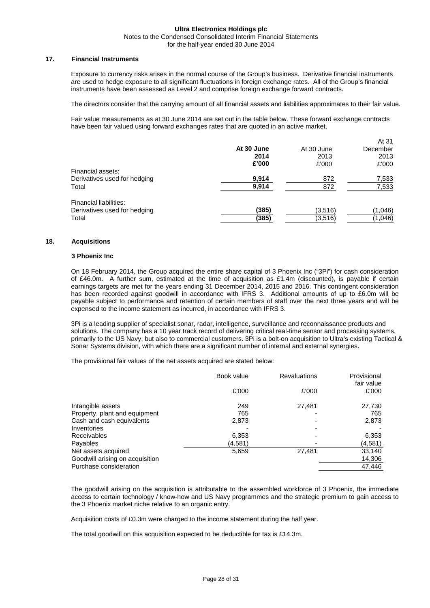#### **Ultra Electronics Holdings plc** Notes to the Condensed Consolidated Interim Financial Statements for the half-year ended 30 June 2014

#### **17. Financial Instruments**

Exposure to currency risks arises in the normal course of the Group's business. Derivative financial instruments are used to hedge exposure to all significant fluctuations in foreign exchange rates. All of the Group's financial instruments have been assessed as Level 2 and comprise foreign exchange forward contracts.

The directors consider that the carrying amount of all financial assets and liabilities approximates to their fair value.

 $4.24$ 

Fair value measurements as at 30 June 2014 are set out in the table below. These forward exchange contracts have been fair valued using forward exchanges rates that are quoted in an active market.

|                              |            |            | Al 31    |
|------------------------------|------------|------------|----------|
|                              | At 30 June | At 30 June | December |
|                              | 2014       | 2013       | 2013     |
|                              | £'000      | £'000      | £'000    |
| Financial assets:            |            |            |          |
| Derivatives used for hedging | 9,914      | 872        | 7,533    |
| Total                        | 9.914      | 872        | 7,533    |
| Financial liabilities:       |            |            |          |
| Derivatives used for hedging | (385)      | (3,516)    | (1,046)  |
| Total                        | (385)      | (3,516)    | (1,046)  |
|                              |            |            |          |

#### **18. Acquisitions**

#### **3 Phoenix Inc**

On 18 February 2014, the Group acquired the entire share capital of 3 Phoenix Inc ("3Pi") for cash consideration of £46.0m. A further sum, estimated at the time of acquisition as £1.4m (discounted), is payable if certain earnings targets are met for the years ending 31 December 2014, 2015 and 2016. This contingent consideration has been recorded against goodwill in accordance with IFRS 3. Additional amounts of up to £6.0m will be payable subject to performance and retention of certain members of staff over the next three years and will be expensed to the income statement as incurred, in accordance with IFRS 3.

3Pi is a leading supplier of specialist sonar, radar, intelligence, surveillance and reconnaissance products and solutions. The company has a 10 year track record of delivering critical real-time sensor and processing systems, primarily to the US Navy, but also to commercial customers. 3Pi is a bolt-on acquisition to Ultra's existing Tactical & Sonar Systems division, with which there are a significant number of internal and external synergies.

The provisional fair values of the net assets acquired are stated below:

|                                 | Book value | <b>Revaluations</b>      | Provisional<br>fair value |
|---------------------------------|------------|--------------------------|---------------------------|
|                                 | £'000      | £'000                    | £'000                     |
| Intangible assets               | 249        | 27,481                   | 27,730                    |
| Property, plant and equipment   | 765        |                          | 765                       |
| Cash and cash equivalents       | 2,873      | $\overline{\phantom{0}}$ | 2,873                     |
| Inventories                     |            | -                        |                           |
| <b>Receivables</b>              | 6,353      |                          | 6,353                     |
| Payables                        | (4,581)    |                          | (4,581)                   |
| Net assets acquired             | 5,659      | 27,481                   | 33,140                    |
| Goodwill arising on acquisition |            |                          | 14,306                    |
| Purchase consideration          |            |                          | 47,446                    |

The goodwill arising on the acquisition is attributable to the assembled workforce of 3 Phoenix, the immediate access to certain technology / know-how and US Navy programmes and the strategic premium to gain access to the 3 Phoenix market niche relative to an organic entry.

Acquisition costs of £0.3m were charged to the income statement during the half year.

The total goodwill on this acquisition expected to be deductible for tax is £14.3m.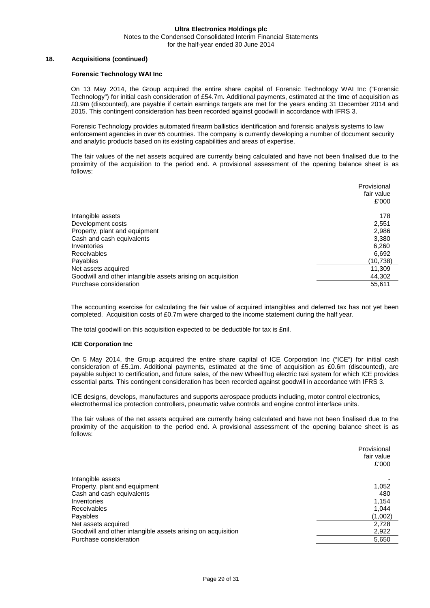#### **18. Acquisitions (continued)**

#### **Forensic Technology WAI Inc**

On 13 May 2014, the Group acquired the entire share capital of Forensic Technology WAI Inc ("Forensic Technology") for initial cash consideration of £54.7m. Additional payments, estimated at the time of acquisition as £0.9m (discounted), are payable if certain earnings targets are met for the years ending 31 December 2014 and 2015. This contingent consideration has been recorded against goodwill in accordance with IFRS 3.

Forensic Technology provides automated firearm ballistics identification and forensic analysis systems to law enforcement agencies in over 65 countries. The company is currently developing a number of document security and analytic products based on its existing capabilities and areas of expertise.

The fair values of the net assets acquired are currently being calculated and have not been finalised due to the proximity of the acquisition to the period end. A provisional assessment of the opening balance sheet is as follows:

|                                                             | Provisional<br>fair value |
|-------------------------------------------------------------|---------------------------|
|                                                             | £'000                     |
| Intangible assets                                           | 178                       |
| Development costs                                           | 2.551                     |
| Property, plant and equipment                               | 2.986                     |
| Cash and cash equivalents                                   | 3.380                     |
| Inventories                                                 | 6.260                     |
| Receivables                                                 | 6,692                     |
| Payables                                                    | (10,738)                  |
| Net assets acquired                                         | 11.309                    |
| Goodwill and other intangible assets arising on acquisition | 44,302                    |
| Purchase consideration                                      | 55,611                    |

The accounting exercise for calculating the fair value of acquired intangibles and deferred tax has not yet been completed. Acquisition costs of £0.7m were charged to the income statement during the half year.

The total goodwill on this acquisition expected to be deductible for tax is £nil.

#### **ICE Corporation Inc**

On 5 May 2014, the Group acquired the entire share capital of ICE Corporation Inc ("ICE") for initial cash consideration of £5.1m. Additional payments, estimated at the time of acquisition as £0.6m (discounted), are payable subject to certification, and future sales, of the new WheelTug electric taxi system for which ICE provides essential parts. This contingent consideration has been recorded against goodwill in accordance with IFRS 3.

ICE designs, develops, manufactures and supports aerospace products including, motor control electronics, electrothermal ice protection controllers, pneumatic valve controls and engine control interface units.

The fair values of the net assets acquired are currently being calculated and have not been finalised due to the proximity of the acquisition to the period end. A provisional assessment of the opening balance sheet is as follows:

|                                                             | Provisional |
|-------------------------------------------------------------|-------------|
|                                                             | fair value  |
|                                                             | £'000       |
| Intangible assets                                           |             |
| Property, plant and equipment                               | 1,052       |
| Cash and cash equivalents                                   | 480         |
| Inventories                                                 | 1,154       |
| <b>Receivables</b>                                          | 1.044       |
| Payables                                                    | (1,002)     |
| Net assets acquired                                         | 2,728       |
| Goodwill and other intangible assets arising on acquisition | 2,922       |
| Purchase consideration                                      | 5,650       |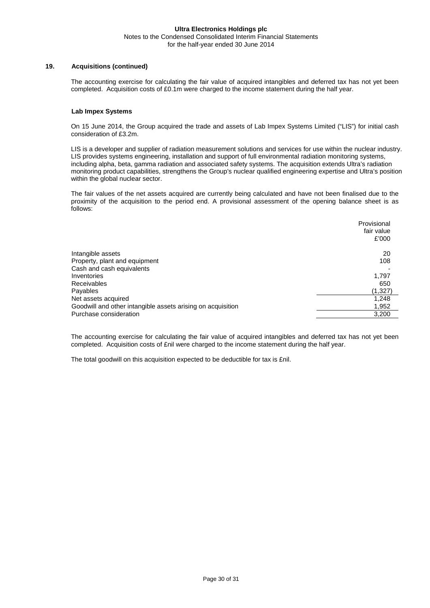#### **Ultra Electronics Holdings plc** Notes to the Condensed Consolidated Interim Financial Statements for the half-year ended 30 June 2014

#### **19. Acquisitions (continued)**

The accounting exercise for calculating the fair value of acquired intangibles and deferred tax has not yet been completed. Acquisition costs of £0.1m were charged to the income statement during the half year.

#### **Lab Impex Systems**

On 15 June 2014, the Group acquired the trade and assets of Lab Impex Systems Limited ("LIS") for initial cash consideration of £3.2m.

LIS is a developer and supplier of radiation measurement solutions and services for use within the nuclear industry. LIS provides systems engineering, installation and support of full environmental radiation monitoring systems, including alpha, beta, gamma radiation and associated safety systems. The acquisition extends Ultra's radiation monitoring product capabilities, strengthens the Group's nuclear qualified engineering expertise and Ultra's position within the global nuclear sector.

The fair values of the net assets acquired are currently being calculated and have not been finalised due to the proximity of the acquisition to the period end. A provisional assessment of the opening balance sheet is as follows:

|                                                             | Provisional<br>fair value<br>£'000 |
|-------------------------------------------------------------|------------------------------------|
| Intangible assets                                           | 20                                 |
| Property, plant and equipment                               | 108                                |
| Cash and cash equivalents                                   |                                    |
| Inventories                                                 | 1,797                              |
| <b>Receivables</b>                                          | 650                                |
| Payables                                                    | (1,327)                            |
| Net assets acquired                                         | 1.248                              |
| Goodwill and other intangible assets arising on acquisition | 1,952                              |
| Purchase consideration                                      | 3,200                              |

The accounting exercise for calculating the fair value of acquired intangibles and deferred tax has not yet been completed. Acquisition costs of £nil were charged to the income statement during the half year.

The total goodwill on this acquisition expected to be deductible for tax is £nil.